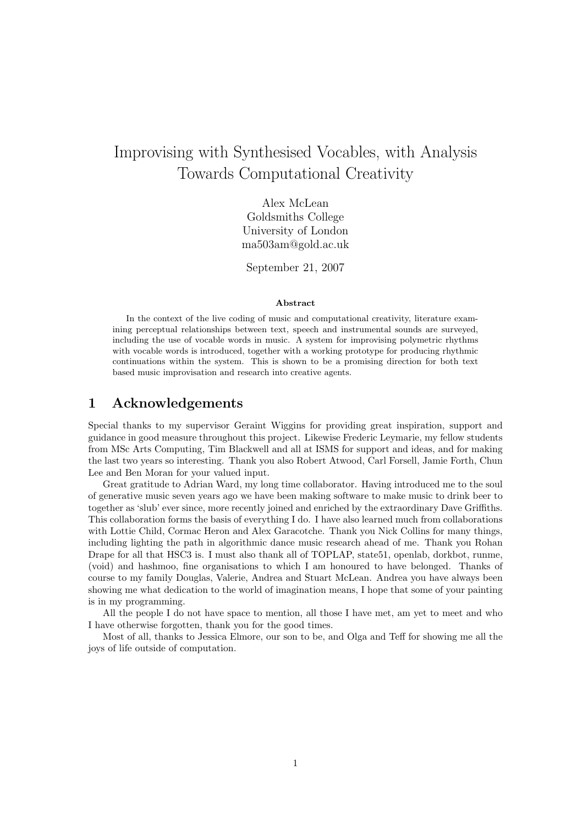# Improvising with Synthesised Vocables, with Analysis Towards Computational Creativity

Alex McLean Goldsmiths College University of London ma503am@gold.ac.uk

September 21, 2007

#### Abstract

In the context of the live coding of music and computational creativity, literature examining perceptual relationships between text, speech and instrumental sounds are surveyed, including the use of vocable words in music. A system for improvising polymetric rhythms with vocable words is introduced, together with a working prototype for producing rhythmic continuations within the system. This is shown to be a promising direction for both text based music improvisation and research into creative agents.

# 1 Acknowledgements

Special thanks to my supervisor Geraint Wiggins for providing great inspiration, support and guidance in good measure throughout this project. Likewise Frederic Leymarie, my fellow students from MSc Arts Computing, Tim Blackwell and all at ISMS for support and ideas, and for making the last two years so interesting. Thank you also Robert Atwood, Carl Forsell, Jamie Forth, Chun Lee and Ben Moran for your valued input.

Great gratitude to Adrian Ward, my long time collaborator. Having introduced me to the soul of generative music seven years ago we have been making software to make music to drink beer to together as 'slub' ever since, more recently joined and enriched by the extraordinary Dave Griffiths. This collaboration forms the basis of everything I do. I have also learned much from collaborations with Lottie Child, Cormac Heron and Alex Garacotche. Thank you Nick Collins for many things, including lighting the path in algorithmic dance music research ahead of me. Thank you Rohan Drape for all that HSC3 is. I must also thank all of TOPLAP, state51, openlab, dorkbot, runme, (void) and hashmoo, fine organisations to which I am honoured to have belonged. Thanks of course to my family Douglas, Valerie, Andrea and Stuart McLean. Andrea you have always been showing me what dedication to the world of imagination means, I hope that some of your painting is in my programming.

All the people I do not have space to mention, all those I have met, am yet to meet and who I have otherwise forgotten, thank you for the good times.

Most of all, thanks to Jessica Elmore, our son to be, and Olga and Teff for showing me all the joys of life outside of computation.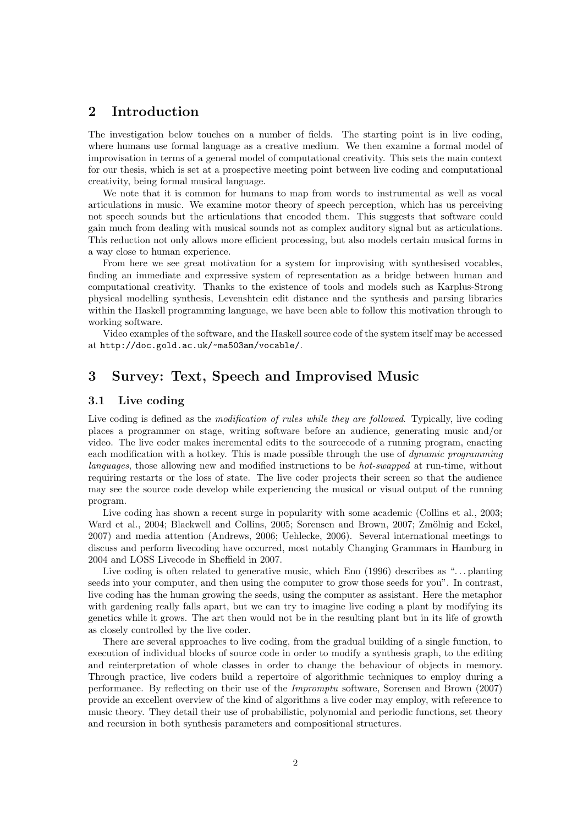# 2 Introduction

The investigation below touches on a number of fields. The starting point is in live coding, where humans use formal language as a creative medium. We then examine a formal model of improvisation in terms of a general model of computational creativity. This sets the main context for our thesis, which is set at a prospective meeting point between live coding and computational creativity, being formal musical language.

We note that it is common for humans to map from words to instrumental as well as vocal articulations in music. We examine motor theory of speech perception, which has us perceiving not speech sounds but the articulations that encoded them. This suggests that software could gain much from dealing with musical sounds not as complex auditory signal but as articulations. This reduction not only allows more efficient processing, but also models certain musical forms in a way close to human experience.

From here we see great motivation for a system for improvising with synthesised vocables, finding an immediate and expressive system of representation as a bridge between human and computational creativity. Thanks to the existence of tools and models such as Karplus-Strong physical modelling synthesis, Levenshtein edit distance and the synthesis and parsing libraries within the Haskell programming language, we have been able to follow this motivation through to working software.

Video examples of the software, and the Haskell source code of the system itself may be accessed at http://doc.gold.ac.uk/~ma503am/vocable/.

# 3 Survey: Text, Speech and Improvised Music

# 3.1 Live coding

Live coding is defined as the *modification of rules while they are followed*. Typically, live coding places a programmer on stage, writing software before an audience, generating music and/or video. The live coder makes incremental edits to the sourcecode of a running program, enacting each modification with a hotkey. This is made possible through the use of *dynamic programming* languages, those allowing new and modified instructions to be hot-swapped at run-time, without requiring restarts or the loss of state. The live coder projects their screen so that the audience may see the source code develop while experiencing the musical or visual output of the running program.

Live coding has shown a recent surge in popularity with some academic (Collins et al., 2003; Ward et al., 2004; Blackwell and Collins, 2005; Sorensen and Brown, 2007; Zmölnig and Eckel, 2007) and media attention (Andrews, 2006; Uehlecke, 2006). Several international meetings to discuss and perform livecoding have occurred, most notably Changing Grammars in Hamburg in 2004 and LOSS Livecode in Sheffield in 2007.

Live coding is often related to generative music, which Eno (1996) describes as "... planting seeds into your computer, and then using the computer to grow those seeds for you". In contrast, live coding has the human growing the seeds, using the computer as assistant. Here the metaphor with gardening really falls apart, but we can try to imagine live coding a plant by modifying its genetics while it grows. The art then would not be in the resulting plant but in its life of growth as closely controlled by the live coder.

There are several approaches to live coding, from the gradual building of a single function, to execution of individual blocks of source code in order to modify a synthesis graph, to the editing and reinterpretation of whole classes in order to change the behaviour of objects in memory. Through practice, live coders build a repertoire of algorithmic techniques to employ during a performance. By reflecting on their use of the Impromptu software, Sorensen and Brown (2007) provide an excellent overview of the kind of algorithms a live coder may employ, with reference to music theory. They detail their use of probabilistic, polynomial and periodic functions, set theory and recursion in both synthesis parameters and compositional structures.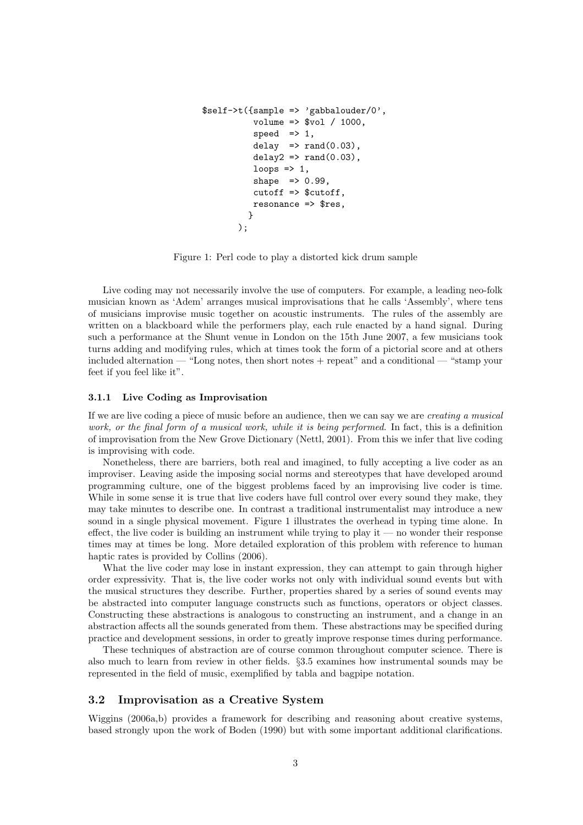```
$self->t({sample => 'gabbalouder/0',
            volume => % vol / 1000,
            speed \Rightarrow 1,
            delay \Rightarrow rand(0.03),
            delay2 \Rightarrow rand(0.03),
            loops \Rightarrow 1,
            shape \Rightarrow 0.99,
            cutoff => $cutoff,
            resonance => $res,
           }
         );
```
Figure 1: Perl code to play a distorted kick drum sample

Live coding may not necessarily involve the use of computers. For example, a leading neo-folk musician known as 'Adem' arranges musical improvisations that he calls 'Assembly', where tens of musicians improvise music together on acoustic instruments. The rules of the assembly are written on a blackboard while the performers play, each rule enacted by a hand signal. During such a performance at the Shunt venue in London on the 15th June 2007, a few musicians took turns adding and modifying rules, which at times took the form of a pictorial score and at others included alternation — "Long notes, then short notes + repeat" and a conditional — "stamp your feet if you feel like it".

#### 3.1.1 Live Coding as Improvisation

If we are live coding a piece of music before an audience, then we can say we are creating a musical work, or the final form of a musical work, while it is being performed. In fact, this is a definition of improvisation from the New Grove Dictionary (Nettl, 2001). From this we infer that live coding is improvising with code.

Nonetheless, there are barriers, both real and imagined, to fully accepting a live coder as an improviser. Leaving aside the imposing social norms and stereotypes that have developed around programming culture, one of the biggest problems faced by an improvising live coder is time. While in some sense it is true that live coders have full control over every sound they make, they may take minutes to describe one. In contrast a traditional instrumentalist may introduce a new sound in a single physical movement. Figure 1 illustrates the overhead in typing time alone. In effect, the live coder is building an instrument while trying to play it — no wonder their response times may at times be long. More detailed exploration of this problem with reference to human haptic rates is provided by Collins (2006).

What the live coder may lose in instant expression, they can attempt to gain through higher order expressivity. That is, the live coder works not only with individual sound events but with the musical structures they describe. Further, properties shared by a series of sound events may be abstracted into computer language constructs such as functions, operators or object classes. Constructing these abstractions is analogous to constructing an instrument, and a change in an abstraction affects all the sounds generated from them. These abstractions may be specified during practice and development sessions, in order to greatly improve response times during performance.

These techniques of abstraction are of course common throughout computer science. There is also much to learn from review in other fields. §3.5 examines how instrumental sounds may be represented in the field of music, exemplified by tabla and bagpipe notation.

### 3.2 Improvisation as a Creative System

Wiggins (2006a,b) provides a framework for describing and reasoning about creative systems, based strongly upon the work of Boden (1990) but with some important additional clarifications.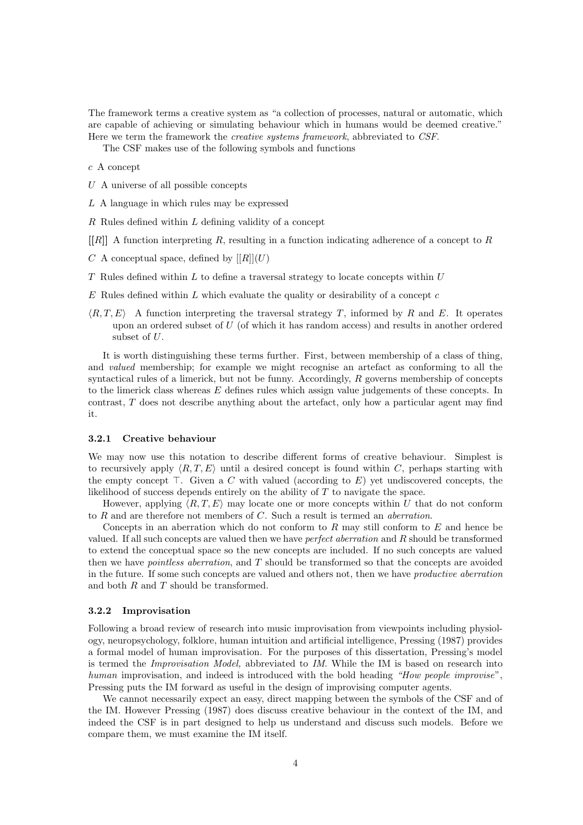The framework terms a creative system as "a collection of processes, natural or automatic, which are capable of achieving or simulating behaviour which in humans would be deemed creative." Here we term the framework the creative systems framework, abbreviated to CSF.

The CSF makes use of the following symbols and functions

#### c A concept

- U A universe of all possible concepts
- L A language in which rules may be expressed
- $R$  Rules defined within  $L$  defining validity of a concept
- $[R]$  A function interpreting R, resulting in a function indicating adherence of a concept to R
- C A conceptual space, defined by  $[[R]](U)$
- $T$  Rules defined within  $L$  to define a traversal strategy to locate concepts within  $U$
- $E$  Rules defined within  $L$  which evaluate the quality or desirability of a concept  $c$
- $\langle R,T,E \rangle$  A function interpreting the traversal strategy T, informed by R and E. It operates upon an ordered subset of  $U$  (of which it has random access) and results in another ordered subset of U.

It is worth distinguishing these terms further. First, between membership of a class of thing, and valued membership; for example we might recognise an artefact as conforming to all the syntactical rules of a limerick, but not be funny. Accordingly,  $R$  governs membership of concepts to the limerick class whereas  $E$  defines rules which assign value judgements of these concepts. In contrast, T does not describe anything about the artefact, only how a particular agent may find it.

#### 3.2.1 Creative behaviour

We may now use this notation to describe different forms of creative behaviour. Simplest is to recursively apply  $\langle R,T,E \rangle$  until a desired concept is found within C, perhaps starting with the empty concept ⊤. Given a C with valued (according to E) yet undiscovered concepts, the likelihood of success depends entirely on the ability of T to navigate the space.

However, applying  $\langle R,T,E \rangle$  may locate one or more concepts within U that do not conform to R and are therefore not members of C. Such a result is termed an aberration.

Concepts in an aberration which do not conform to  $R$  may still conform to  $E$  and hence be valued. If all such concepts are valued then we have perfect aberration and R should be transformed to extend the conceptual space so the new concepts are included. If no such concepts are valued then we have pointless aberration, and T should be transformed so that the concepts are avoided in the future. If some such concepts are valued and others not, then we have productive aberration and both R and T should be transformed.

#### 3.2.2 Improvisation

Following a broad review of research into music improvisation from viewpoints including physiology, neuropsychology, folklore, human intuition and artificial intelligence, Pressing (1987) provides a formal model of human improvisation. For the purposes of this dissertation, Pressing's model is termed the Improvisation Model, abbreviated to IM. While the IM is based on research into human improvisation, and indeed is introduced with the bold heading "How people improvise", Pressing puts the IM forward as useful in the design of improvising computer agents.

We cannot necessarily expect an easy, direct mapping between the symbols of the CSF and of the IM. However Pressing (1987) does discuss creative behaviour in the context of the IM, and indeed the CSF is in part designed to help us understand and discuss such models. Before we compare them, we must examine the IM itself.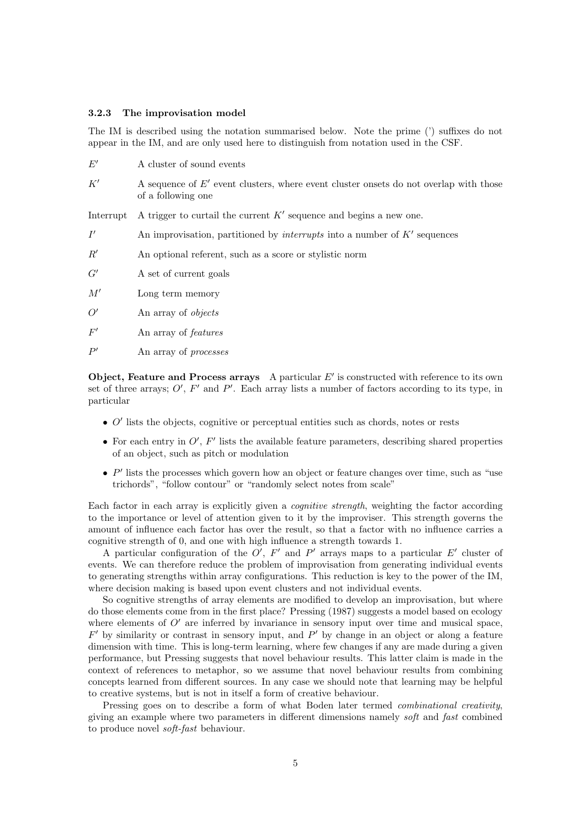#### 3.2.3 The improvisation model

The IM is described using the notation summarised below. Note the prime (') suffixes do not appear in the IM, and are only used here to distinguish from notation used in the CSF.

| $E^{\prime}$ | A cluster of sound events                                                                                     |
|--------------|---------------------------------------------------------------------------------------------------------------|
| K'           | A sequence of $E'$ event clusters, where event cluster onsets do not overlap with those<br>of a following one |
| Interrupt    | A trigger to curtail the current $K'$ sequence and begins a new one.                                          |
| I'           | An improvisation, partitioned by interrupts into a number of $K'$ sequences                                   |
| R'           | An optional referent, such as a score or stylistic norm                                                       |
| G'           | A set of current goals                                                                                        |
| M'           | Long term memory                                                                                              |
| O'           | An array of objects                                                                                           |
| F'           | An array of <i>features</i>                                                                                   |
| P'           | An array of <i>processes</i>                                                                                  |

Object, Feature and Process arrays A particular  $E'$  is constructed with reference to its own set of three arrays;  $O'$ ,  $F'$  and  $P'$ . Each array lists a number of factors according to its type, in particular

- $\bullet$  O' lists the objects, cognitive or perceptual entities such as chords, notes or rests
- For each entry in  $O'$ ,  $F'$  lists the available feature parameters, describing shared properties of an object, such as pitch or modulation
- $\bullet$  P' lists the processes which govern how an object or feature changes over time, such as "use trichords", "follow contour" or "randomly select notes from scale"

Each factor in each array is explicitly given a cognitive strength, weighting the factor according to the importance or level of attention given to it by the improviser. This strength governs the amount of influence each factor has over the result, so that a factor with no influence carries a cognitive strength of 0, and one with high influence a strength towards 1.

A particular configuration of the  $O'$ ,  $F'$  and  $P'$  arrays maps to a particular  $E'$  cluster of events. We can therefore reduce the problem of improvisation from generating individual events to generating strengths within array configurations. This reduction is key to the power of the IM, where decision making is based upon event clusters and not individual events.

So cognitive strengths of array elements are modified to develop an improvisation, but where do those elements come from in the first place? Pressing (1987) suggests a model based on ecology where elements of  $O'$  are inferred by invariance in sensory input over time and musical space,  $F'$  by similarity or contrast in sensory input, and  $P'$  by change in an object or along a feature dimension with time. This is long-term learning, where few changes if any are made during a given performance, but Pressing suggests that novel behaviour results. This latter claim is made in the context of references to metaphor, so we assume that novel behaviour results from combining concepts learned from different sources. In any case we should note that learning may be helpful to creative systems, but is not in itself a form of creative behaviour.

Pressing goes on to describe a form of what Boden later termed *combinational creativity*, giving an example where two parameters in different dimensions namely soft and fast combined to produce novel soft-fast behaviour.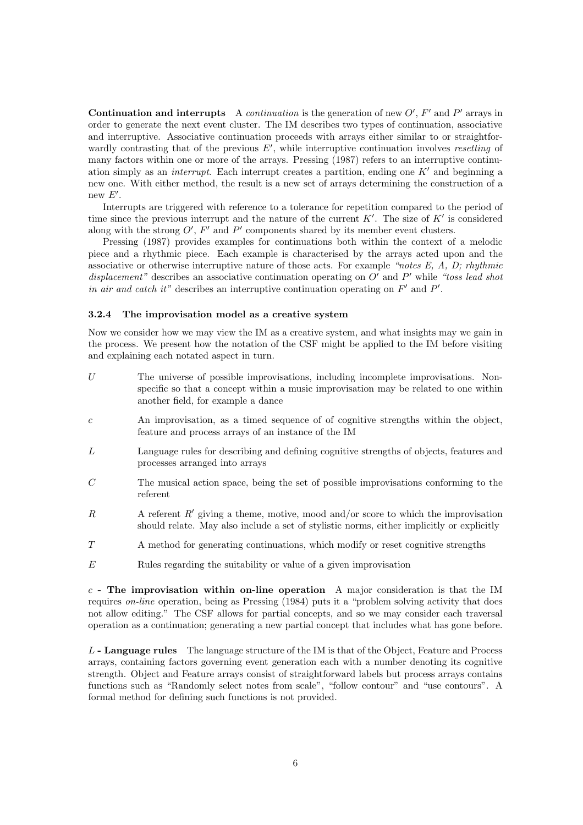Continuation and interrupts A continuation is the generation of new  $O'$ ,  $F'$  and  $P'$  arrays in order to generate the next event cluster. The IM describes two types of continuation, associative and interruptive. Associative continuation proceeds with arrays either similar to or straightforwardly contrasting that of the previous  $E'$ , while interruptive continuation involves resetting of many factors within one or more of the arrays. Pressing (1987) refers to an interruptive continuation simply as an *interrupt*. Each interrupt creates a partition, ending one  $K'$  and beginning a new one. With either method, the result is a new set of arrays determining the construction of a new  $E'$ .

Interrupts are triggered with reference to a tolerance for repetition compared to the period of time since the previous interrupt and the nature of the current  $K'$ . The size of  $K'$  is considered along with the strong  $O'$ ,  $F'$  and  $P'$  components shared by its member event clusters.

Pressing (1987) provides examples for continuations both within the context of a melodic piece and a rhythmic piece. Each example is characterised by the arrays acted upon and the associative or otherwise interruptive nature of those acts. For example "notes  $E$ ,  $A$ ,  $D$ ; rhythmic displacement" describes an associative continuation operating on  $O'$  and  $P'$  while "toss lead shot in air and catch it" describes an interruptive continuation operating on  $F'$  and  $P'$ .

#### 3.2.4 The improvisation model as a creative system

Now we consider how we may view the IM as a creative system, and what insights may we gain in the process. We present how the notation of the CSF might be applied to the IM before visiting and explaining each notated aspect in turn.

- U The universe of possible improvisations, including incomplete improvisations. Nonspecific so that a concept within a music improvisation may be related to one within another field, for example a dance
- c An improvisation, as a timed sequence of of cognitive strengths within the object, feature and process arrays of an instance of the IM
- L Language rules for describing and defining cognitive strengths of objects, features and processes arranged into arrays
- C The musical action space, being the set of possible improvisations conforming to the referent
- R A referent  $R'$  giving a theme, motive, mood and/or score to which the improvisation should relate. May also include a set of stylistic norms, either implicitly or explicitly
- T A method for generating continuations, which modify or reset cognitive strengths
- $E$  Rules regarding the suitability or value of a given improvisation

 $c$  - The improvisation within on-line operation A major consideration is that the IM requires on-line operation, being as Pressing (1984) puts it a "problem solving activity that does not allow editing." The CSF allows for partial concepts, and so we may consider each traversal operation as a continuation; generating a new partial concept that includes what has gone before.

L - Language rules The language structure of the IM is that of the Object, Feature and Process arrays, containing factors governing event generation each with a number denoting its cognitive strength. Object and Feature arrays consist of straightforward labels but process arrays contains functions such as "Randomly select notes from scale", "follow contour" and "use contours". A formal method for defining such functions is not provided.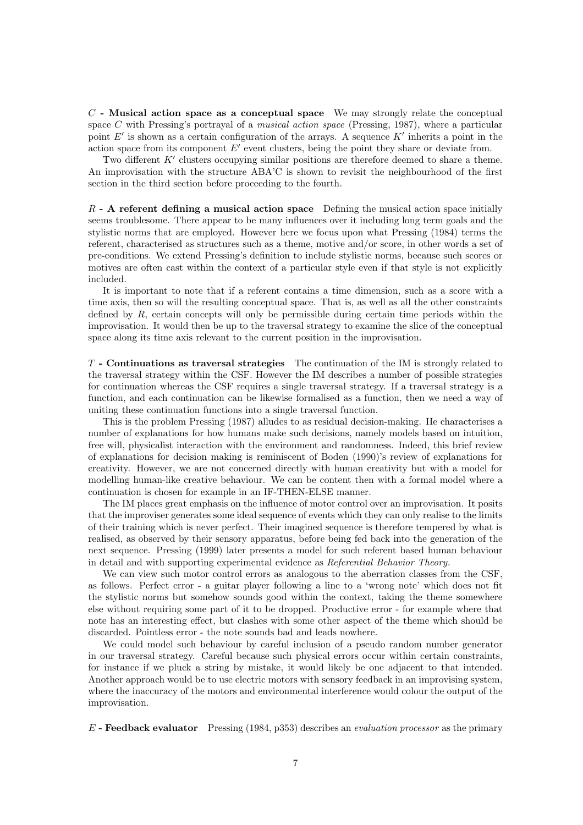$C$  - Musical action space as a conceptual space We may strongly relate the conceptual space C with Pressing's portrayal of a *musical action space* (Pressing, 1987), where a particular point  $E'$  is shown as a certain configuration of the arrays. A sequence  $K'$  inherits a point in the action space from its component  $E'$  event clusters, being the point they share or deviate from.

Two different K' clusters occupying similar positions are therefore deemed to share a theme. An improvisation with the structure ABA'C is shown to revisit the neighbourhood of the first section in the third section before proceeding to the fourth.

 $R$  - A referent defining a musical action space Defining the musical action space initially seems troublesome. There appear to be many influences over it including long term goals and the stylistic norms that are employed. However here we focus upon what Pressing (1984) terms the referent, characterised as structures such as a theme, motive and/or score, in other words a set of pre-conditions. We extend Pressing's definition to include stylistic norms, because such scores or motives are often cast within the context of a particular style even if that style is not explicitly included.

It is important to note that if a referent contains a time dimension, such as a score with a time axis, then so will the resulting conceptual space. That is, as well as all the other constraints defined by  $R$ , certain concepts will only be permissible during certain time periods within the improvisation. It would then be up to the traversal strategy to examine the slice of the conceptual space along its time axis relevant to the current position in the improvisation.

T - Continuations as traversal strategies The continuation of the IM is strongly related to the traversal strategy within the CSF. However the IM describes a number of possible strategies for continuation whereas the CSF requires a single traversal strategy. If a traversal strategy is a function, and each continuation can be likewise formalised as a function, then we need a way of uniting these continuation functions into a single traversal function.

This is the problem Pressing (1987) alludes to as residual decision-making. He characterises a number of explanations for how humans make such decisions, namely models based on intuition, free will, physicalist interaction with the environment and randomness. Indeed, this brief review of explanations for decision making is reminiscent of Boden (1990)'s review of explanations for creativity. However, we are not concerned directly with human creativity but with a model for modelling human-like creative behaviour. We can be content then with a formal model where a continuation is chosen for example in an IF-THEN-ELSE manner.

The IM places great emphasis on the influence of motor control over an improvisation. It posits that the improviser generates some ideal sequence of events which they can only realise to the limits of their training which is never perfect. Their imagined sequence is therefore tempered by what is realised, as observed by their sensory apparatus, before being fed back into the generation of the next sequence. Pressing (1999) later presents a model for such referent based human behaviour in detail and with supporting experimental evidence as Referential Behavior Theory.

We can view such motor control errors as analogous to the aberration classes from the CSF, as follows. Perfect error - a guitar player following a line to a 'wrong note' which does not fit the stylistic norms but somehow sounds good within the context, taking the theme somewhere else without requiring some part of it to be dropped. Productive error - for example where that note has an interesting effect, but clashes with some other aspect of the theme which should be discarded. Pointless error - the note sounds bad and leads nowhere.

We could model such behaviour by careful inclusion of a pseudo random number generator in our traversal strategy. Careful because such physical errors occur within certain constraints, for instance if we pluck a string by mistake, it would likely be one adjacent to that intended. Another approach would be to use electric motors with sensory feedback in an improvising system, where the inaccuracy of the motors and environmental interference would colour the output of the improvisation.

 $E$  - Feedback evaluator Pressing (1984, p353) describes an *evaluation processor* as the primary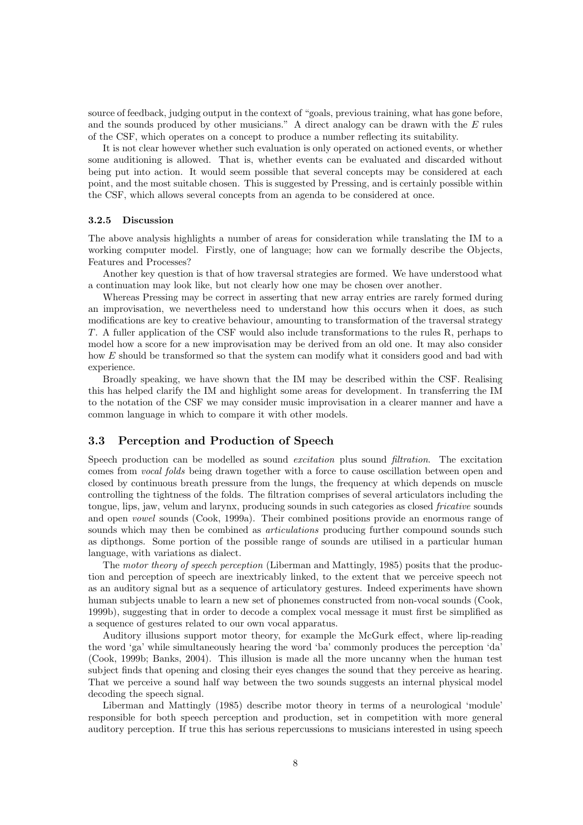source of feedback, judging output in the context of "goals, previous training, what has gone before, and the sounds produced by other musicians." A direct analogy can be drawn with the  $E$  rules of the CSF, which operates on a concept to produce a number reflecting its suitability.

It is not clear however whether such evaluation is only operated on actioned events, or whether some auditioning is allowed. That is, whether events can be evaluated and discarded without being put into action. It would seem possible that several concepts may be considered at each point, and the most suitable chosen. This is suggested by Pressing, and is certainly possible within the CSF, which allows several concepts from an agenda to be considered at once.

#### 3.2.5 Discussion

The above analysis highlights a number of areas for consideration while translating the IM to a working computer model. Firstly, one of language; how can we formally describe the Objects, Features and Processes?

Another key question is that of how traversal strategies are formed. We have understood what a continuation may look like, but not clearly how one may be chosen over another.

Whereas Pressing may be correct in asserting that new array entries are rarely formed during an improvisation, we nevertheless need to understand how this occurs when it does, as such modifications are key to creative behaviour, amounting to transformation of the traversal strategy T. A fuller application of the CSF would also include transformations to the rules R, perhaps to model how a score for a new improvisation may be derived from an old one. It may also consider how E should be transformed so that the system can modify what it considers good and bad with experience.

Broadly speaking, we have shown that the IM may be described within the CSF. Realising this has helped clarify the IM and highlight some areas for development. In transferring the IM to the notation of the CSF we may consider music improvisation in a clearer manner and have a common language in which to compare it with other models.

# 3.3 Perception and Production of Speech

Speech production can be modelled as sound *excitation* plus sound *filtration*. The excitation comes from vocal folds being drawn together with a force to cause oscillation between open and closed by continuous breath pressure from the lungs, the frequency at which depends on muscle controlling the tightness of the folds. The filtration comprises of several articulators including the tongue, lips, jaw, velum and larynx, producing sounds in such categories as closed fricative sounds and open vowel sounds (Cook, 1999a). Their combined positions provide an enormous range of sounds which may then be combined as *articulations* producing further compound sounds such as dipthongs. Some portion of the possible range of sounds are utilised in a particular human language, with variations as dialect.

The motor theory of speech perception (Liberman and Mattingly, 1985) posits that the production and perception of speech are inextricably linked, to the extent that we perceive speech not as an auditory signal but as a sequence of articulatory gestures. Indeed experiments have shown human subjects unable to learn a new set of phonemes constructed from non-vocal sounds (Cook, 1999b), suggesting that in order to decode a complex vocal message it must first be simplified as a sequence of gestures related to our own vocal apparatus.

Auditory illusions support motor theory, for example the McGurk effect, where lip-reading the word 'ga' while simultaneously hearing the word 'ba' commonly produces the perception 'da' (Cook, 1999b; Banks, 2004). This illusion is made all the more uncanny when the human test subject finds that opening and closing their eyes changes the sound that they perceive as hearing. That we perceive a sound half way between the two sounds suggests an internal physical model decoding the speech signal.

Liberman and Mattingly (1985) describe motor theory in terms of a neurological 'module' responsible for both speech perception and production, set in competition with more general auditory perception. If true this has serious repercussions to musicians interested in using speech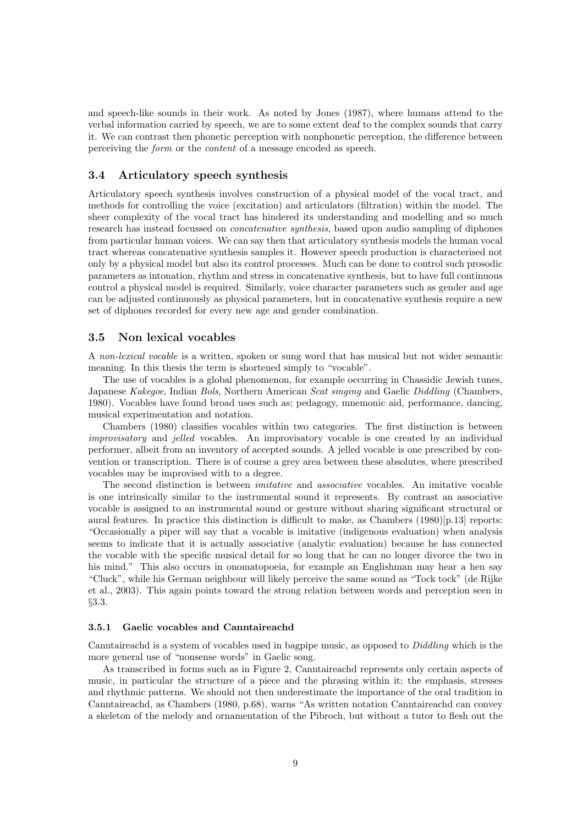and speech-like sounds in their work. As noted by Jones (1987), where humans attend to the verbal information carried by speech, we are to some extent deaf to the complex sounds that carry it. We can contrast then phonetic perception with nonphonetic perception, the difference between perceiving the form or the content of a message encoded as speech.

# 3.4 Articulatory speech synthesis

Articulatory speech synthesis involves construction of a physical model of the vocal tract, and methods for controlling the voice (excitation) and articulators (filtration) within the model. The sheer complexity of the vocal tract has hindered its understanding and modelling and so much research has instead focussed on concatenative synthesis, based upon audio sampling of diphones from particular human voices. We can say then that articulatory synthesis models the human vocal tract whereas concatenative synthesis samples it. However speech production is characterised not only by a physical model but also its control processes. Much can be done to control such prosodic parameters as intonation, rhythm and stress in concatenative synthesis, but to have full continuous control a physical model is required. Similarly, voice character parameters such as gender and age can be adjusted continuously as physical parameters, but in concatenative synthesis require a new set of diphones recorded for every new age and gender combination.

### 3.5 Non lexical vocables

A non-lexical vocable is a written, spoken or sung word that has musical but not wider semantic meaning. In this thesis the term is shortened simply to "vocable".

The use of vocables is a global phenomenon, for example occurring in Chassidic Jewish tunes, Japanese Kakegoe, Indian Bols, Northern American Scat singing and Gaelic Diddling (Chambers, 1980). Vocables have found broad uses such as; pedagogy, mnemonic aid, performance, dancing, musical experimentation and notation.

Chambers (1980) classifies vocables within two categories. The first distinction is between improvisatory and jelled vocables. An improvisatory vocable is one created by an individual performer, albeit from an inventory of accepted sounds. A jelled vocable is one prescribed by convention or transcription. There is of course a grey area between these absolutes, where prescribed vocables may be improvised with to a degree.

The second distinction is between imitative and associative vocables. An imitative vocable is one intrinsically similar to the instrumental sound it represents. By contrast an associative vocable is assigned to an instrumental sound or gesture without sharing significant structural or aural features. In practice this distinction is difficult to make, as Chambers (1980)[p.13] reports: "Occasionally a piper will say that a vocable is imitative (indigenous evaluation) when analysis seems to indicate that it is actually associative (analytic evaluation) because he has connected the vocable with the specific musical detail for so long that he can no longer divorce the two in his mind." This also occurs in onomatopoeia, for example an Englishman may hear a hen say "Cluck", while his German neighbour will likely perceive the same sound as "Tock tock" (de Rijke et al., 2003). This again points toward the strong relation between words and perception seen in §3.3.

### 3.5.1 Gaelic vocables and Canntaireachd

Canntaireachd is a system of vocables used in bagpipe music, as opposed to Diddling which is the more general use of "nonsense words" in Gaelic song.

As transcribed in forms such as in Figure 2, Canntaireachd represents only certain aspects of music, in particular the structure of a piece and the phrasing within it; the emphasis, stresses and rhythmic patterns. We should not then underestimate the importance of the oral tradition in Canntaireachd, as Chambers (1980, p.68), warns "As written notation Canntaireachd can convey a skeleton of the melody and ornamentation of the Pibroch, but without a tutor to flesh out the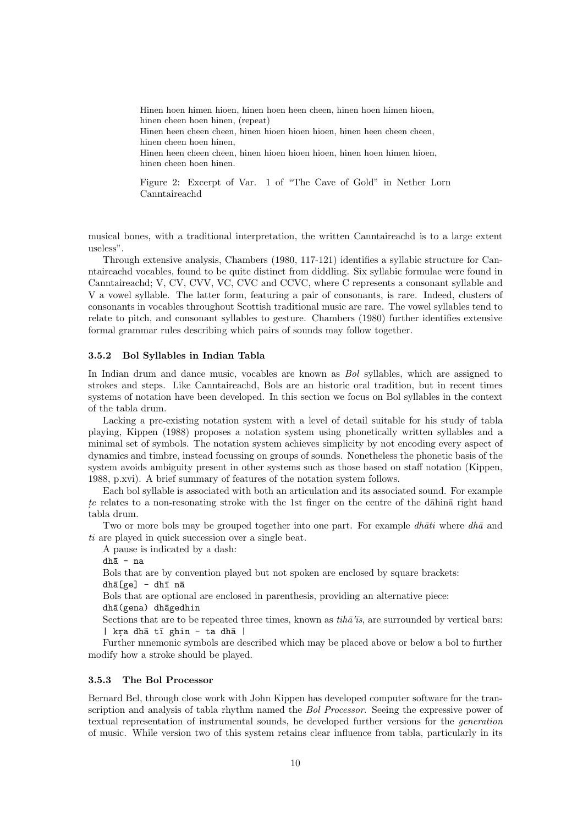Hinen hoen himen hioen, hinen hoen heen cheen, hinen hoen himen hioen, hinen cheen hoen hinen, (repeat) Hinen heen cheen cheen, hinen hioen hioen hioen, hinen heen cheen cheen, hinen cheen hoen hinen, Hinen heen cheen cheen, hinen hioen hioen hioen, hinen hoen himen hioen, hinen cheen hoen hinen.

Figure 2: Excerpt of Var. 1 of "The Cave of Gold" in Nether Lorn Canntaireachd

musical bones, with a traditional interpretation, the written Canntaireachd is to a large extent useless".

Through extensive analysis, Chambers (1980, 117-121) identifies a syllabic structure for Canntaireachd vocables, found to be quite distinct from diddling. Six syllabic formulae were found in Canntaireachd; V, CV, CVV, VC, CVC and CCVC, where C represents a consonant syllable and V a vowel syllable. The latter form, featuring a pair of consonants, is rare. Indeed, clusters of consonants in vocables throughout Scottish traditional music are rare. The vowel syllables tend to relate to pitch, and consonant syllables to gesture. Chambers (1980) further identifies extensive formal grammar rules describing which pairs of sounds may follow together.

### 3.5.2 Bol Syllables in Indian Tabla

In Indian drum and dance music, vocables are known as *Bol* syllables, which are assigned to strokes and steps. Like Canntaireachd, Bols are an historic oral tradition, but in recent times systems of notation have been developed. In this section we focus on Bol syllables in the context of the tabla drum.

Lacking a pre-existing notation system with a level of detail suitable for his study of tabla playing, Kippen (1988) proposes a notation system using phonetically written syllables and a minimal set of symbols. The notation system achieves simplicity by not encoding every aspect of dynamics and timbre, instead focussing on groups of sounds. Nonetheless the phonetic basis of the system avoids ambiguity present in other systems such as those based on staff notation (Kippen, 1988, p.xvi). A brief summary of features of the notation system follows.

Each bol syllable is associated with both an articulation and its associated sound. For example te relates to a non-resonating stroke with the 1st finger on the centre of the dahina right hand tabla drum.

Two or more bols may be grouped together into one part. For example  $dh\bar{a}ti$  where  $dh\bar{a}$  and ti are played in quick succession over a single beat.

A pause is indicated by a dash:

dhā - na

Bols that are by convention played but not spoken are enclosed by square brackets:

 $dh\bar{a}$ [ge] - dhī nā

Bols that are optional are enclosed in parenthesis, providing an alternative piece:

dhā(gena) dhāgedhin

Sections that are to be repeated three times, known as  $tih\bar{a}'\bar{s}$ , are surrounded by vertical bars:  $|$  kra dhā tī ghin - ta dhā  $|$ 

Further mnemonic symbols are described which may be placed above or below a bol to further modify how a stroke should be played.

# 3.5.3 The Bol Processor

Bernard Bel, through close work with John Kippen has developed computer software for the transcription and analysis of tabla rhythm named the Bol Processor. Seeing the expressive power of textual representation of instrumental sounds, he developed further versions for the generation of music. While version two of this system retains clear influence from tabla, particularly in its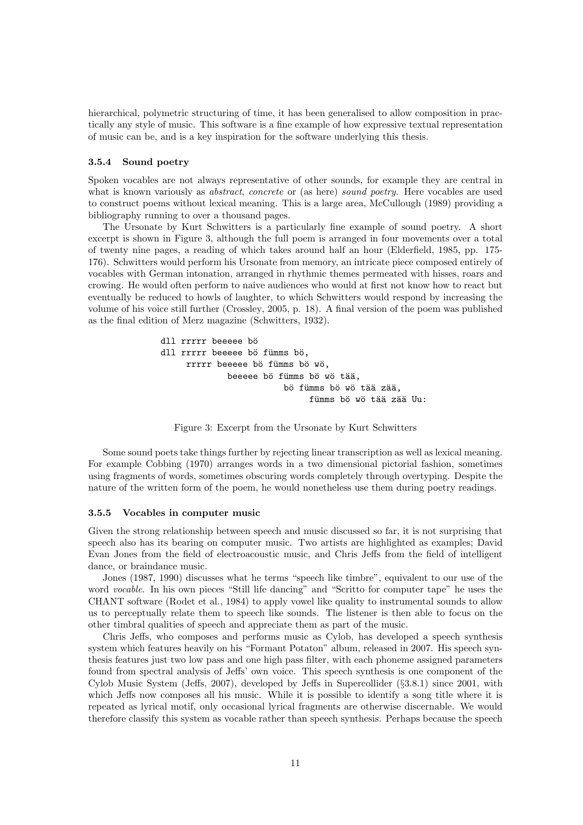hierarchical, polymetric structuring of time, it has been generalised to allow composition in practically any style of music. This software is a fine example of how expressive textual representation of music can be, and is a key inspiration for the software underlying this thesis.

#### 3.5.4 Sound poetry

Spoken vocables are not always representative of other sounds, for example they are central in what is known variously as *abstract*, *concrete* or (as here) *sound poetry*. Here vocables are used to construct poems without lexical meaning. This is a large area, McCullough (1989) providing a bibliography running to over a thousand pages.

The Ursonate by Kurt Schwitters is a particularly fine example of sound poetry. A short excerpt is shown in Figure 3, although the full poem is arranged in four movements over a total of twenty nine pages, a reading of which takes around half an hour (Elderfield, 1985, pp. 175- 176). Schwitters would perform his Ursonate from memory, an intricate piece composed entirely of vocables with German intonation, arranged in rhythmic themes permeated with hisses, roars and crowing. He would often perform to naive audiences who would at first not know how to react but eventually be reduced to howls of laughter, to which Schwitters would respond by increasing the volume of his voice still further (Crossley, 2005, p. 18). A final version of the poem was published as the final edition of Merz magazine (Schwitters, 1932).

```
dll rrrrr beeeee bö
dll rrrrr beeeee bö fümms bö.
     rrrrr beeeee bö fümms bö wö,
             beeeee bö fümms bö wö tää,
                        bö fümms bö wö tää zää,
                             fümms bö wö tää zää Uu:
```
Figure 3: Excerpt from the Ursonate by Kurt Schwitters

Some sound poets take things further by rejecting linear transcription as well as lexical meaning. For example Cobbing (1970) arranges words in a two dimensional pictorial fashion, sometimes using fragments of words, sometimes obscuring words completely through overtyping. Despite the nature of the written form of the poem, he would nonetheless use them during poetry readings.

#### 3.5.5 Vocables in computer music

Given the strong relationship between speech and music discussed so far, it is not surprising that speech also has its bearing on computer music. Two artists are highlighted as examples; David Evan Jones from the field of electroacoustic music, and Chris Jeffs from the field of intelligent dance, or braindance music.

Jones (1987, 1990) discusses what he terms "speech like timbre", equivalent to our use of the word vocable. In his own pieces "Still life dancing" and "Scritto for computer tape" he uses the CHANT software (Rodet et al., 1984) to apply vowel like quality to instrumental sounds to allow us to perceptually relate them to speech like sounds. The listener is then able to focus on the other timbral qualities of speech and appreciate them as part of the music.

Chris Jeffs, who composes and performs music as Cylob, has developed a speech synthesis system which features heavily on his "Formant Potaton" album, released in 2007. His speech synthesis features just two low pass and one high pass filter, with each phoneme assigned parameters found from spectral analysis of Jeffs' own voice. This speech synthesis is one component of the Cylob Music System (Jeffs, 2007), developed by Jeffs in Supercollider (§3.8.1) since 2001, with which Jeffs now composes all his music. While it is possible to identify a song title where it is repeated as lyrical motif, only occasional lyrical fragments are otherwise discernable. We would therefore classify this system as vocable rather than speech synthesis. Perhaps because the speech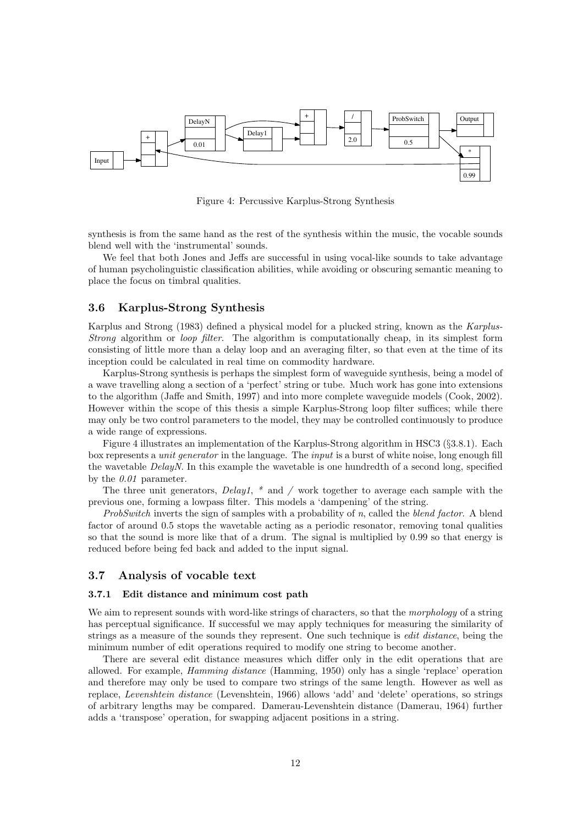

Figure 4: Percussive Karplus-Strong Synthesis

synthesis is from the same hand as the rest of the synthesis within the music, the vocable sounds blend well with the 'instrumental' sounds.

We feel that both Jones and Jeffs are successful in using vocal-like sounds to take advantage of human psycholinguistic classification abilities, while avoiding or obscuring semantic meaning to place the focus on timbral qualities.

### 3.6 Karplus-Strong Synthesis

Karplus and Strong (1983) defined a physical model for a plucked string, known as the Karplus-Strong algorithm or *loop filter*. The algorithm is computationally cheap, in its simplest form consisting of little more than a delay loop and an averaging filter, so that even at the time of its inception could be calculated in real time on commodity hardware.

Karplus-Strong synthesis is perhaps the simplest form of waveguide synthesis, being a model of a wave travelling along a section of a 'perfect' string or tube. Much work has gone into extensions to the algorithm (Jaffe and Smith, 1997) and into more complete waveguide models (Cook, 2002). However within the scope of this thesis a simple Karplus-Strong loop filter suffices; while there may only be two control parameters to the model, they may be controlled continuously to produce a wide range of expressions.

Figure 4 illustrates an implementation of the Karplus-Strong algorithm in HSC3 (§3.8.1). Each box represents a unit generator in the language. The input is a burst of white noise, long enough fill the wavetable DelayN. In this example the wavetable is one hundredth of a second long, specified by the  $0.01$  parameter.

The three unit generators,  $Delay1$ ,  $*$  and  $/$  work together to average each sample with the previous one, forming a lowpass filter. This models a 'dampening' of the string.

ProbSwitch inverts the sign of samples with a probability of n, called the blend factor. A blend factor of around 0.5 stops the wavetable acting as a periodic resonator, removing tonal qualities so that the sound is more like that of a drum. The signal is multiplied by 0.99 so that energy is reduced before being fed back and added to the input signal.

# 3.7 Analysis of vocable text

#### 3.7.1 Edit distance and minimum cost path

We aim to represent sounds with word-like strings of characters, so that the *morphology* of a string has perceptual significance. If successful we may apply techniques for measuring the similarity of strings as a measure of the sounds they represent. One such technique is edit distance, being the minimum number of edit operations required to modify one string to become another.

There are several edit distance measures which differ only in the edit operations that are allowed. For example, Hamming distance (Hamming, 1950) only has a single 'replace' operation and therefore may only be used to compare two strings of the same length. However as well as replace, Levenshtein distance (Levenshtein, 1966) allows 'add' and 'delete' operations, so strings of arbitrary lengths may be compared. Damerau-Levenshtein distance (Damerau, 1964) further adds a 'transpose' operation, for swapping adjacent positions in a string.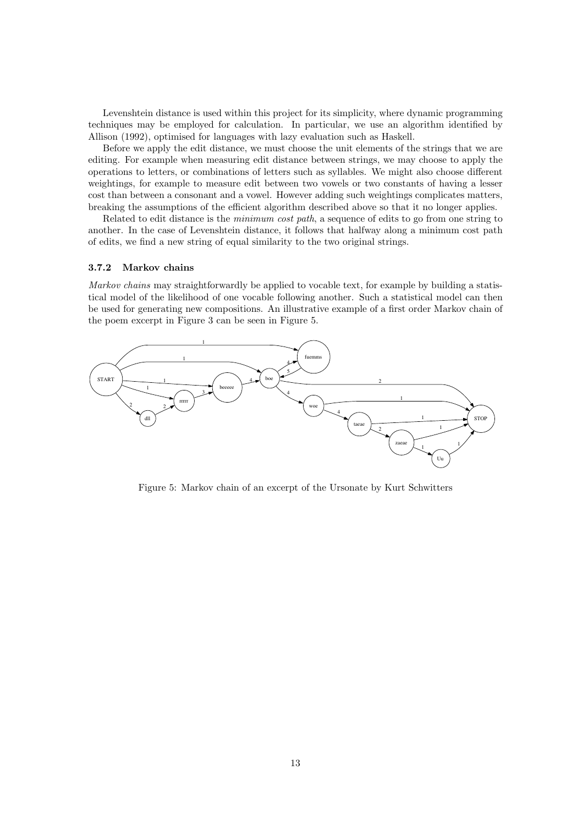Levenshtein distance is used within this project for its simplicity, where dynamic programming techniques may be employed for calculation. In particular, we use an algorithm identified by Allison (1992), optimised for languages with lazy evaluation such as Haskell.

Before we apply the edit distance, we must choose the unit elements of the strings that we are editing. For example when measuring edit distance between strings, we may choose to apply the operations to letters, or combinations of letters such as syllables. We might also choose different weightings, for example to measure edit between two vowels or two constants of having a lesser cost than between a consonant and a vowel. However adding such weightings complicates matters, breaking the assumptions of the efficient algorithm described above so that it no longer applies.

Related to edit distance is the minimum cost path, a sequence of edits to go from one string to another. In the case of Levenshtein distance, it follows that halfway along a minimum cost path of edits, we find a new string of equal similarity to the two original strings.

#### 3.7.2 Markov chains

Markov chains may straightforwardly be applied to vocable text, for example by building a statistical model of the likelihood of one vocable following another. Such a statistical model can then be used for generating new compositions. An illustrative example of a first order Markov chain of the poem excerpt in Figure 3 can be seen in Figure 5.



Figure 5: Markov chain of an excerpt of the Ursonate by Kurt Schwitters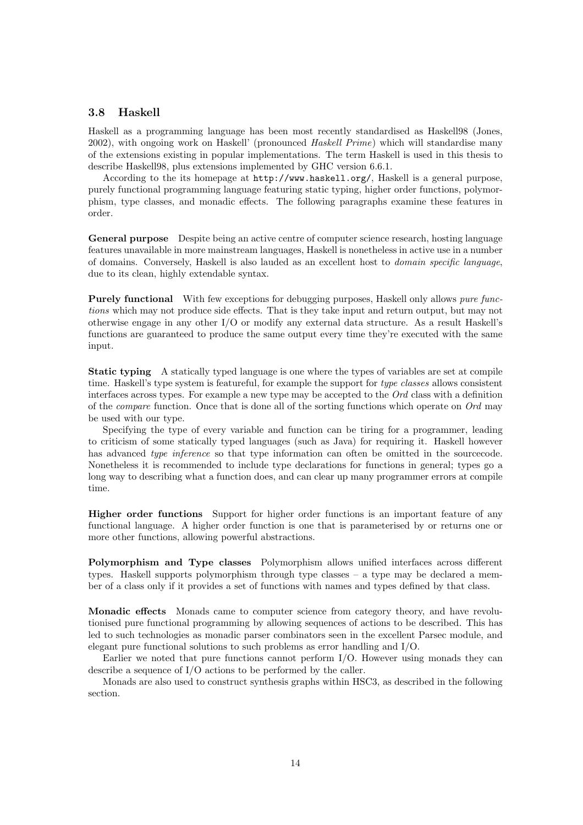### 3.8 Haskell

Haskell as a programming language has been most recently standardised as Haskell98 (Jones, 2002), with ongoing work on Haskell' (pronounced Haskell Prime) which will standardise many of the extensions existing in popular implementations. The term Haskell is used in this thesis to describe Haskell98, plus extensions implemented by GHC version 6.6.1.

According to the its homepage at http://www.haskell.org/, Haskell is a general purpose, purely functional programming language featuring static typing, higher order functions, polymorphism, type classes, and monadic effects. The following paragraphs examine these features in order.

General purpose Despite being an active centre of computer science research, hosting language features unavailable in more mainstream languages, Haskell is nonetheless in active use in a number of domains. Conversely, Haskell is also lauded as an excellent host to domain specific language, due to its clean, highly extendable syntax.

Purely functional With few exceptions for debugging purposes, Haskell only allows *pure func*tions which may not produce side effects. That is they take input and return output, but may not otherwise engage in any other I/O or modify any external data structure. As a result Haskell's functions are guaranteed to produce the same output every time they're executed with the same input.

Static typing A statically typed language is one where the types of variables are set at compile time. Haskell's type system is featureful, for example the support for type classes allows consistent interfaces across types. For example a new type may be accepted to the Ord class with a definition of the *compare* function. Once that is done all of the sorting functions which operate on  $Ord$  may be used with our type.

Specifying the type of every variable and function can be tiring for a programmer, leading to criticism of some statically typed languages (such as Java) for requiring it. Haskell however has advanced *type inference* so that type information can often be omitted in the sourcecode. Nonetheless it is recommended to include type declarations for functions in general; types go a long way to describing what a function does, and can clear up many programmer errors at compile time.

Higher order functions Support for higher order functions is an important feature of any functional language. A higher order function is one that is parameterised by or returns one or more other functions, allowing powerful abstractions.

Polymorphism and Type classes Polymorphism allows unified interfaces across different types. Haskell supports polymorphism through type classes – a type may be declared a member of a class only if it provides a set of functions with names and types defined by that class.

Monadic effects Monads came to computer science from category theory, and have revolutionised pure functional programming by allowing sequences of actions to be described. This has led to such technologies as monadic parser combinators seen in the excellent Parsec module, and elegant pure functional solutions to such problems as error handling and I/O.

Earlier we noted that pure functions cannot perform I/O. However using monads they can describe a sequence of I/O actions to be performed by the caller.

Monads are also used to construct synthesis graphs within HSC3, as described in the following section.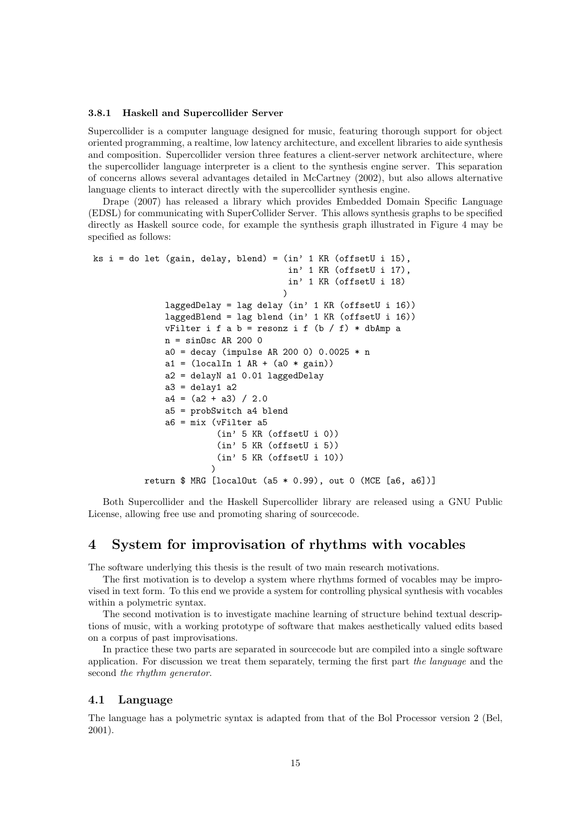### 3.8.1 Haskell and Supercollider Server

Supercollider is a computer language designed for music, featuring thorough support for object oriented programming, a realtime, low latency architecture, and excellent libraries to aide synthesis and composition. Supercollider version three features a client-server network architecture, where the supercollider language interpreter is a client to the synthesis engine server. This separation of concerns allows several advantages detailed in McCartney (2002), but also allows alternative language clients to interact directly with the supercollider synthesis engine.

Drape (2007) has released a library which provides Embedded Domain Specific Language (EDSL) for communicating with SuperCollider Server. This allows synthesis graphs to be specified directly as Haskell source code, for example the synthesis graph illustrated in Figure 4 may be specified as follows:

```
ks i = do let (gain, delay, blend) = (in' 1 KR (offsetU i 15),in' 1 KR (offsetU i 17),
                                      in' 1 KR (offsetU i 18)
                                     )
              laggedDelay = lag delay (in' 1 KR (offsetU i 16))
              laggedBlend = lag blend (in' 1 KR (offsetU i 16))
              vFilter i f a b = resonz i f (b / f) * dbAmp a
              n = sinOsc AR 200 0
              a0 = decay (impulse AR 200 0) 0.0025 * n
              a1 = (localIn 1 AR + (a0 * gain))a2 = delayN a1 0.01 laggedDelay
              a3 = delay1 a2a4 = (a2 + a3) / 2.0a5 = probSwitch a4 blend
              a6 = mix (vFilter a5
                        (in' 5 KR (offsetU i 0))
                        (in' 5 KR (offsetU i 5))
                        (in' 5 KR (offsetU i 10))
                       )
          return $ MRG [localOut (a5 * 0.99), out 0 (MCE [a6, a6])]
```
Both Supercollider and the Haskell Supercollider library are released using a GNU Public License, allowing free use and promoting sharing of sourcecode.

# 4 System for improvisation of rhythms with vocables

The software underlying this thesis is the result of two main research motivations.

The first motivation is to develop a system where rhythms formed of vocables may be improvised in text form. To this end we provide a system for controlling physical synthesis with vocables within a polymetric syntax.

The second motivation is to investigate machine learning of structure behind textual descriptions of music, with a working prototype of software that makes aesthetically valued edits based on a corpus of past improvisations.

In practice these two parts are separated in sourcecode but are compiled into a single software application. For discussion we treat them separately, terming the first part the language and the second the rhythm generator.

# 4.1 Language

The language has a polymetric syntax is adapted from that of the Bol Processor version 2 (Bel, 2001).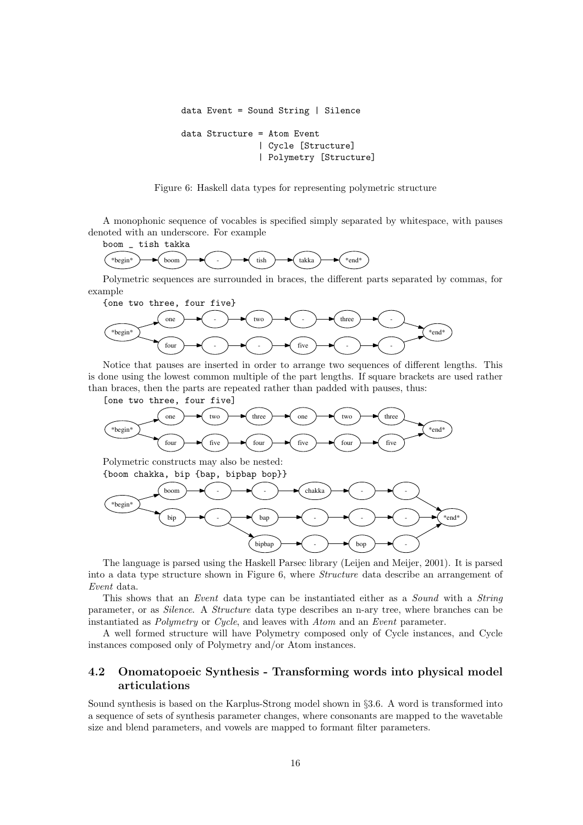```
data Event = Sound String | Silence
data Structure = Atom Event
               | Cycle [Structure]
               | Polymetry [Structure]
```
Figure 6: Haskell data types for representing polymetric structure

A monophonic sequence of vocables is specified simply separated by whitespace, with pauses denoted with an underscore. For example



Polymetric sequences are surrounded in braces, the different parts separated by commas, for example



Notice that pauses are inserted in order to arrange two sequences of different lengths. This is done using the lowest common multiple of the part lengths. If square brackets are used rather than braces, then the parts are repeated rather than padded with pauses, thus:



Polymetric constructs may also be nested: {boom chakka, bip {bap, bipbap bop}}



The language is parsed using the Haskell Parsec library (Leijen and Meijer, 2001). It is parsed into a data type structure shown in Figure 6, where Structure data describe an arrangement of Event data.

This shows that an *Event* data type can be instantiated either as a *Sound* with a *String* parameter, or as Silence. A Structure data type describes an n-ary tree, where branches can be instantiated as Polymetry or Cycle, and leaves with Atom and an Event parameter.

A well formed structure will have Polymetry composed only of Cycle instances, and Cycle instances composed only of Polymetry and/or Atom instances.

# 4.2 Onomatopoeic Synthesis - Transforming words into physical model articulations

Sound synthesis is based on the Karplus-Strong model shown in §3.6. A word is transformed into a sequence of sets of synthesis parameter changes, where consonants are mapped to the wavetable size and blend parameters, and vowels are mapped to formant filter parameters.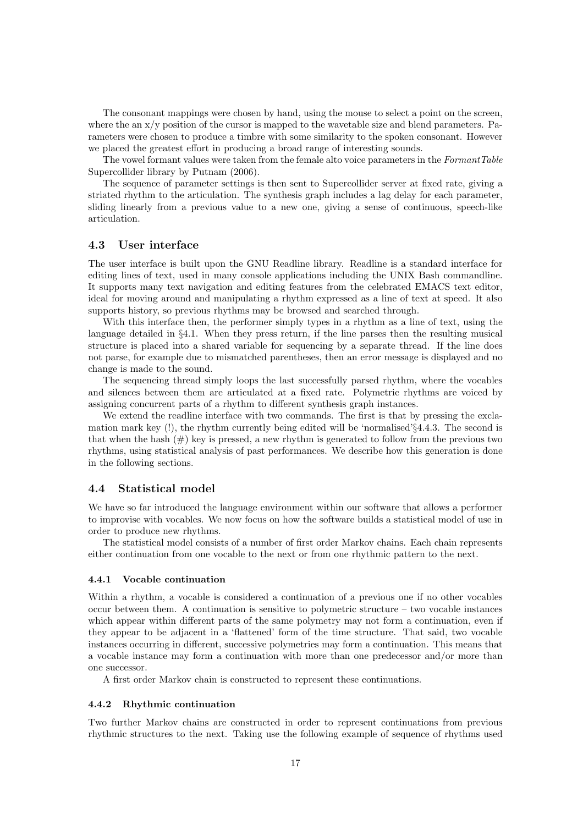The consonant mappings were chosen by hand, using the mouse to select a point on the screen, where the an  $x/y$  position of the cursor is mapped to the wavetable size and blend parameters. Parameters were chosen to produce a timbre with some similarity to the spoken consonant. However we placed the greatest effort in producing a broad range of interesting sounds.

The vowel formant values were taken from the female alto voice parameters in the FormantTable Supercollider library by Putnam (2006).

The sequence of parameter settings is then sent to Supercollider server at fixed rate, giving a striated rhythm to the articulation. The synthesis graph includes a lag delay for each parameter, sliding linearly from a previous value to a new one, giving a sense of continuous, speech-like articulation.

### 4.3 User interface

The user interface is built upon the GNU Readline library. Readline is a standard interface for editing lines of text, used in many console applications including the UNIX Bash commandline. It supports many text navigation and editing features from the celebrated EMACS text editor, ideal for moving around and manipulating a rhythm expressed as a line of text at speed. It also supports history, so previous rhythms may be browsed and searched through.

With this interface then, the performer simply types in a rhythm as a line of text, using the language detailed in §4.1. When they press return, if the line parses then the resulting musical structure is placed into a shared variable for sequencing by a separate thread. If the line does not parse, for example due to mismatched parentheses, then an error message is displayed and no change is made to the sound.

The sequencing thread simply loops the last successfully parsed rhythm, where the vocables and silences between them are articulated at a fixed rate. Polymetric rhythms are voiced by assigning concurrent parts of a rhythm to different synthesis graph instances.

We extend the readline interface with two commands. The first is that by pressing the exclamation mark key (!), the rhythm currently being edited will be 'normalised'§4.4.3. The second is that when the hash  $(\#)$  key is pressed, a new rhythm is generated to follow from the previous two rhythms, using statistical analysis of past performances. We describe how this generation is done in the following sections.

#### 4.4 Statistical model

We have so far introduced the language environment within our software that allows a performer to improvise with vocables. We now focus on how the software builds a statistical model of use in order to produce new rhythms.

The statistical model consists of a number of first order Markov chains. Each chain represents either continuation from one vocable to the next or from one rhythmic pattern to the next.

#### 4.4.1 Vocable continuation

Within a rhythm, a vocable is considered a continuation of a previous one if no other vocables occur between them. A continuation is sensitive to polymetric structure – two vocable instances which appear within different parts of the same polymetry may not form a continuation, even if they appear to be adjacent in a 'flattened' form of the time structure. That said, two vocable instances occurring in different, successive polymetries may form a continuation. This means that a vocable instance may form a continuation with more than one predecessor and/or more than one successor.

A first order Markov chain is constructed to represent these continuations.

#### 4.4.2 Rhythmic continuation

Two further Markov chains are constructed in order to represent continuations from previous rhythmic structures to the next. Taking use the following example of sequence of rhythms used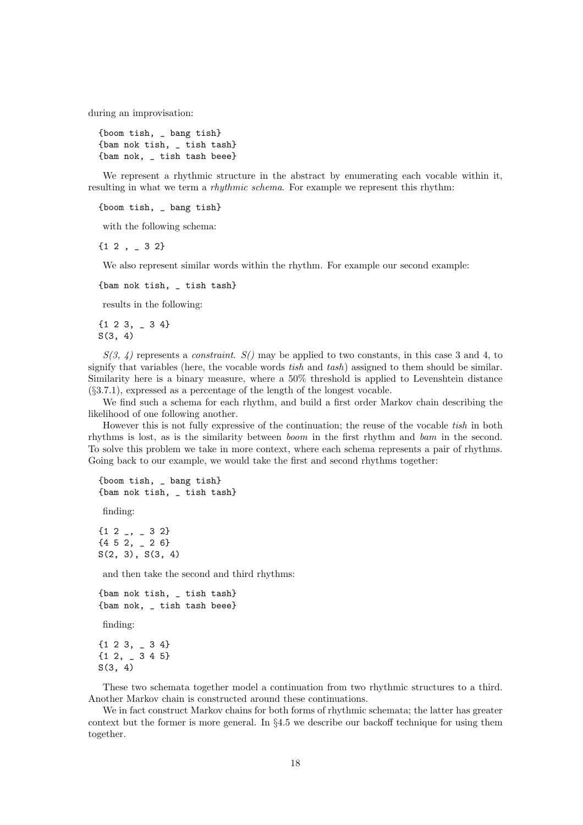during an improvisation:

{boom tish, \_ bang tish} {bam nok tish, \_ tish tash} {bam nok, \_ tish tash beee}

We represent a rhythmic structure in the abstract by enumerating each vocable within it, resulting in what we term a *rhythmic schema*. For example we represent this rhythm:

{boom tish, \_ bang tish}

with the following schema:

 ${1 2, -3 2}$ 

We also represent similar words within the rhythm. For example our second example:

{bam nok tish, \_ tish tash}

results in the following:

{1 2 3, \_ 3 4}  $S(3, 4)$ 

 $S(3, 4)$  represents a *constraint.*  $S()$  may be applied to two constants, in this case 3 and 4, to signify that variables (here, the vocable words *tish* and  $tash$ ) assigned to them should be similar. Similarity here is a binary measure, where a 50% threshold is applied to Levenshtein distance (§3.7.1), expressed as a percentage of the length of the longest vocable.

We find such a schema for each rhythm, and build a first order Markov chain describing the likelihood of one following another.

However this is not fully expressive of the continuation; the reuse of the vocable tish in both rhythms is lost, as is the similarity between boom in the first rhythm and bam in the second. To solve this problem we take in more context, where each schema represents a pair of rhythms. Going back to our example, we would take the first and second rhythms together:

```
{boom tish, _ bang tish}
{bam nok tish, _ tish tash}
```
finding:

 ${12$  ,  ${32}$  ${452, -26}$  $S(2, 3), S(3, 4)$ 

and then take the second and third rhythms:

```
{bam nok tish, _ tish tash}
{bam nok, _ tish tash beee}
```
finding:

{1 2 3, \_ 3 4} {1 2, \_ 3 4 5} S(3, 4)

These two schemata together model a continuation from two rhythmic structures to a third. Another Markov chain is constructed around these continuations.

We in fact construct Markov chains for both forms of rhythmic schemata; the latter has greater context but the former is more general. In §4.5 we describe our backoff technique for using them together.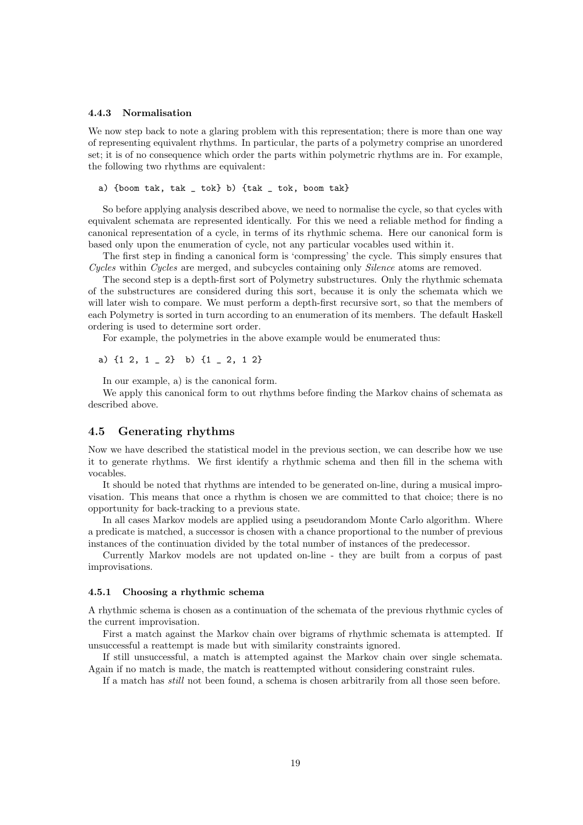#### 4.4.3 Normalisation

We now step back to note a glaring problem with this representation; there is more than one way of representing equivalent rhythms. In particular, the parts of a polymetry comprise an unordered set; it is of no consequence which order the parts within polymetric rhythms are in. For example, the following two rhythms are equivalent:

a) {boom tak, tak \_ tok} b) {tak \_ tok, boom tak}

So before applying analysis described above, we need to normalise the cycle, so that cycles with equivalent schemata are represented identically. For this we need a reliable method for finding a canonical representation of a cycle, in terms of its rhythmic schema. Here our canonical form is based only upon the enumeration of cycle, not any particular vocables used within it.

The first step in finding a canonical form is 'compressing' the cycle. This simply ensures that Cycles within Cycles are merged, and subcycles containing only Silence atoms are removed.

The second step is a depth-first sort of Polymetry substructures. Only the rhythmic schemata of the substructures are considered during this sort, because it is only the schemata which we will later wish to compare. We must perform a depth-first recursive sort, so that the members of each Polymetry is sorted in turn according to an enumeration of its members. The default Haskell ordering is used to determine sort order.

For example, the polymetries in the above example would be enumerated thus:

a)  $\{1\ 2, 1\ 2\}$  b)  $\{1\ 2, 1\ 2\}$ 

In our example, a) is the canonical form.

We apply this canonical form to out rhythms before finding the Markov chains of schemata as described above.

### 4.5 Generating rhythms

Now we have described the statistical model in the previous section, we can describe how we use it to generate rhythms. We first identify a rhythmic schema and then fill in the schema with vocables.

It should be noted that rhythms are intended to be generated on-line, during a musical improvisation. This means that once a rhythm is chosen we are committed to that choice; there is no opportunity for back-tracking to a previous state.

In all cases Markov models are applied using a pseudorandom Monte Carlo algorithm. Where a predicate is matched, a successor is chosen with a chance proportional to the number of previous instances of the continuation divided by the total number of instances of the predecessor.

Currently Markov models are not updated on-line - they are built from a corpus of past improvisations.

#### 4.5.1 Choosing a rhythmic schema

A rhythmic schema is chosen as a continuation of the schemata of the previous rhythmic cycles of the current improvisation.

First a match against the Markov chain over bigrams of rhythmic schemata is attempted. If unsuccessful a reattempt is made but with similarity constraints ignored.

If still unsuccessful, a match is attempted against the Markov chain over single schemata. Again if no match is made, the match is reattempted without considering constraint rules.

If a match has still not been found, a schema is chosen arbitrarily from all those seen before.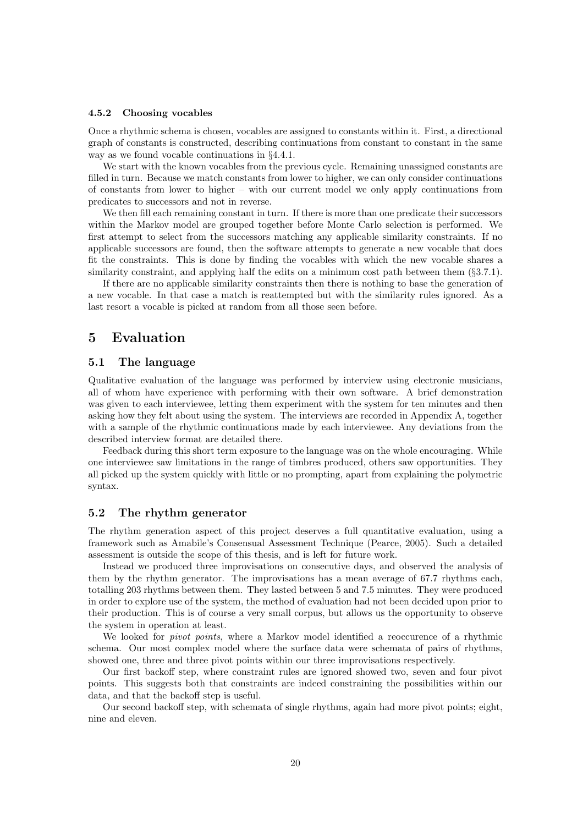#### 4.5.2 Choosing vocables

Once a rhythmic schema is chosen, vocables are assigned to constants within it. First, a directional graph of constants is constructed, describing continuations from constant to constant in the same way as we found vocable continuations in §4.4.1.

We start with the known vocables from the previous cycle. Remaining unassigned constants are filled in turn. Because we match constants from lower to higher, we can only consider continuations of constants from lower to higher – with our current model we only apply continuations from predicates to successors and not in reverse.

We then fill each remaining constant in turn. If there is more than one predicate their successors within the Markov model are grouped together before Monte Carlo selection is performed. We first attempt to select from the successors matching any applicable similarity constraints. If no applicable successors are found, then the software attempts to generate a new vocable that does fit the constraints. This is done by finding the vocables with which the new vocable shares a similarity constraint, and applying half the edits on a minimum cost path between them (§3.7.1).

If there are no applicable similarity constraints then there is nothing to base the generation of a new vocable. In that case a match is reattempted but with the similarity rules ignored. As a last resort a vocable is picked at random from all those seen before.

# 5 Evaluation

# 5.1 The language

Qualitative evaluation of the language was performed by interview using electronic musicians, all of whom have experience with performing with their own software. A brief demonstration was given to each interviewee, letting them experiment with the system for ten minutes and then asking how they felt about using the system. The interviews are recorded in Appendix A, together with a sample of the rhythmic continuations made by each interviewee. Any deviations from the described interview format are detailed there.

Feedback during this short term exposure to the language was on the whole encouraging. While one interviewee saw limitations in the range of timbres produced, others saw opportunities. They all picked up the system quickly with little or no prompting, apart from explaining the polymetric syntax.

# 5.2 The rhythm generator

The rhythm generation aspect of this project deserves a full quantitative evaluation, using a framework such as Amabile's Consensual Assessment Technique (Pearce, 2005). Such a detailed assessment is outside the scope of this thesis, and is left for future work.

Instead we produced three improvisations on consecutive days, and observed the analysis of them by the rhythm generator. The improvisations has a mean average of 67.7 rhythms each, totalling 203 rhythms between them. They lasted between 5 and 7.5 minutes. They were produced in order to explore use of the system, the method of evaluation had not been decided upon prior to their production. This is of course a very small corpus, but allows us the opportunity to observe the system in operation at least.

We looked for *pivot points*, where a Markov model identified a reoccurence of a rhythmic schema. Our most complex model where the surface data were schemata of pairs of rhythms, showed one, three and three pivot points within our three improvisations respectively.

Our first backoff step, where constraint rules are ignored showed two, seven and four pivot points. This suggests both that constraints are indeed constraining the possibilities within our data, and that the backoff step is useful.

Our second backoff step, with schemata of single rhythms, again had more pivot points; eight, nine and eleven.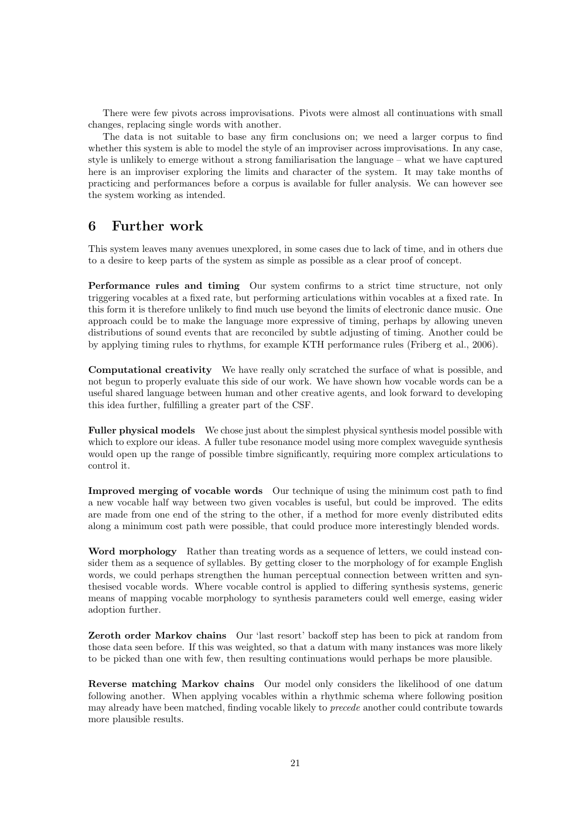There were few pivots across improvisations. Pivots were almost all continuations with small changes, replacing single words with another.

The data is not suitable to base any firm conclusions on; we need a larger corpus to find whether this system is able to model the style of an improviser across improvisations. In any case, style is unlikely to emerge without a strong familiarisation the language – what we have captured here is an improviser exploring the limits and character of the system. It may take months of practicing and performances before a corpus is available for fuller analysis. We can however see the system working as intended.

# 6 Further work

This system leaves many avenues unexplored, in some cases due to lack of time, and in others due to a desire to keep parts of the system as simple as possible as a clear proof of concept.

Performance rules and timing Our system confirms to a strict time structure, not only triggering vocables at a fixed rate, but performing articulations within vocables at a fixed rate. In this form it is therefore unlikely to find much use beyond the limits of electronic dance music. One approach could be to make the language more expressive of timing, perhaps by allowing uneven distributions of sound events that are reconciled by subtle adjusting of timing. Another could be by applying timing rules to rhythms, for example KTH performance rules (Friberg et al., 2006).

Computational creativity We have really only scratched the surface of what is possible, and not begun to properly evaluate this side of our work. We have shown how vocable words can be a useful shared language between human and other creative agents, and look forward to developing this idea further, fulfilling a greater part of the CSF.

Fuller physical models We chose just about the simplest physical synthesis model possible with which to explore our ideas. A fuller tube resonance model using more complex waveguide synthesis would open up the range of possible timbre significantly, requiring more complex articulations to control it.

Improved merging of vocable words Our technique of using the minimum cost path to find a new vocable half way between two given vocables is useful, but could be improved. The edits are made from one end of the string to the other, if a method for more evenly distributed edits along a minimum cost path were possible, that could produce more interestingly blended words.

Word morphology Rather than treating words as a sequence of letters, we could instead consider them as a sequence of syllables. By getting closer to the morphology of for example English words, we could perhaps strengthen the human perceptual connection between written and synthesised vocable words. Where vocable control is applied to differing synthesis systems, generic means of mapping vocable morphology to synthesis parameters could well emerge, easing wider adoption further.

Zeroth order Markov chains Our 'last resort' backoff step has been to pick at random from those data seen before. If this was weighted, so that a datum with many instances was more likely to be picked than one with few, then resulting continuations would perhaps be more plausible.

Reverse matching Markov chains Our model only considers the likelihood of one datum following another. When applying vocables within a rhythmic schema where following position may already have been matched, finding vocable likely to precede another could contribute towards more plausible results.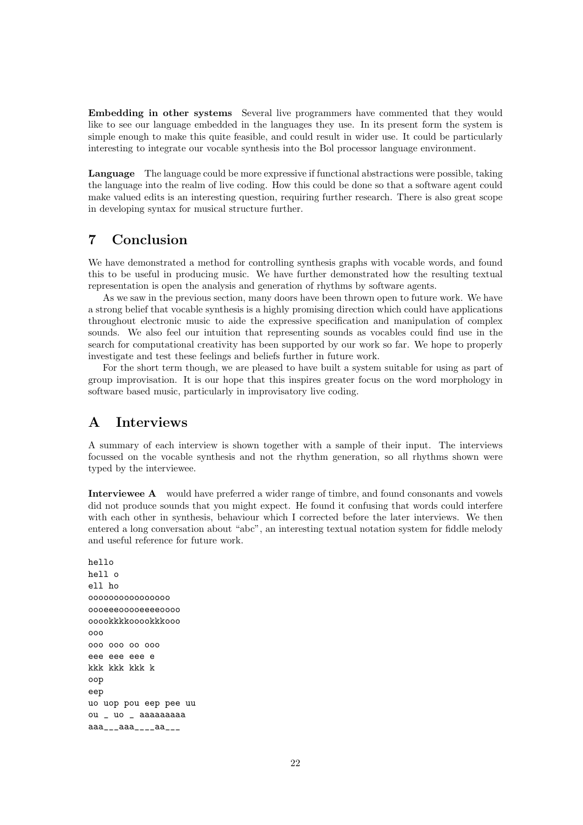Embedding in other systems Several live programmers have commented that they would like to see our language embedded in the languages they use. In its present form the system is simple enough to make this quite feasible, and could result in wider use. It could be particularly interesting to integrate our vocable synthesis into the Bol processor language environment.

Language The language could be more expressive if functional abstractions were possible, taking the language into the realm of live coding. How this could be done so that a software agent could make valued edits is an interesting question, requiring further research. There is also great scope in developing syntax for musical structure further.

# 7 Conclusion

We have demonstrated a method for controlling synthesis graphs with vocable words, and found this to be useful in producing music. We have further demonstrated how the resulting textual representation is open the analysis and generation of rhythms by software agents.

As we saw in the previous section, many doors have been thrown open to future work. We have a strong belief that vocable synthesis is a highly promising direction which could have applications throughout electronic music to aide the expressive specification and manipulation of complex sounds. We also feel our intuition that representing sounds as vocables could find use in the search for computational creativity has been supported by our work so far. We hope to properly investigate and test these feelings and beliefs further in future work.

For the short term though, we are pleased to have built a system suitable for using as part of group improvisation. It is our hope that this inspires greater focus on the word morphology in software based music, particularly in improvisatory live coding.

# A Interviews

A summary of each interview is shown together with a sample of their input. The interviews focussed on the vocable synthesis and not the rhythm generation, so all rhythms shown were typed by the interviewee.

Interviewee A would have preferred a wider range of timbre, and found consonants and vowels did not produce sounds that you might expect. He found it confusing that words could interfere with each other in synthesis, behaviour which I corrected before the later interviews. We then entered a long conversation about "abc", an interesting textual notation system for fiddle melody and useful reference for future work.

hello hell o ell ho oooooooooooooooo oooeeeooooeeeeoooo ooookkkkooookkkooo ooo ooo ooo oo ooo eee eee eee e kkk kkk kkk k oop eep uo uop pou eep pee uu ou \_ uo \_ aaaaaaaaa aaa\_\_\_aaa\_\_\_\_aa\_\_\_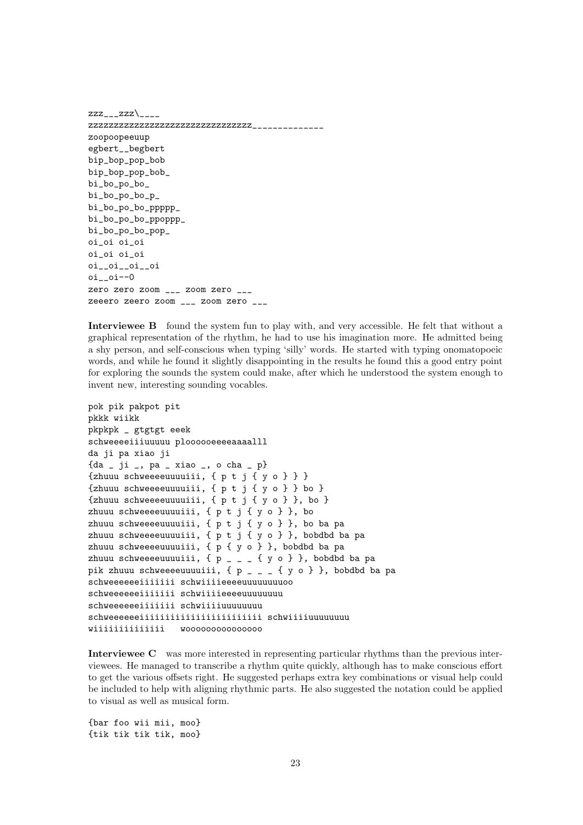zzz $\angle$ <sub>\_\_\_\_</sub> zzzzzzzzzzzzzzzzzzzzzzzzzzzzzzzz\_\_\_\_\_\_\_\_\_\_\_\_\_\_ zoopoopeeuup egbert\_\_begbert bip\_bop\_pop\_bob bip\_bop\_pop\_bob\_ bi\_bo\_po\_bo\_ bi\_bo\_po\_bo\_p\_ bi\_bo\_po\_bo\_ppppp\_ bi\_bo\_po\_bo\_ppoppp\_ bi\_bo\_po\_bo\_pop\_ oi\_oi oi\_oi oi\_oi oi\_oi oi\_\_oi\_\_oi\_\_oi oi\_\_oi--0 zero zero zoom \_\_\_ zoom zero \_\_\_ zeeero zeero zoom \_\_\_ zoom zero \_\_\_

Interviewee B found the system fun to play with, and very accessible. He felt that without a graphical representation of the rhythm, he had to use his imagination more. He admitted being a shy person, and self-conscious when typing 'silly' words. He started with typing onomatopoeic words, and while he found it slightly disappointing in the results he found this a good entry point for exploring the sounds the system could make, after which he understood the system enough to invent new, interesting sounding vocables.

```
pok pik pakpot pit
pkkk wiikk
pkpkpk _ gtgtgt eeek
schweeeeiiiuuuuu ploooooeeeeaaaalll
da ji pa xiao ji
{da _ ji _, pa _ xiao _, o cha _ p}
{zhuuu schweeeeuuuuiii, { p t j { y o } } }
{zhuuu schweeeeuuuuiii, { p t j { y o } } bo }
{zhuuu schweeeeuuuuiii, { p t j { y o } }, bo }
zhuuu schweeeeuuuuiii, { p t j { y o } }, bo
zhuuu schweeeeuuuuiii, { p t j { y o } }, bo ba pa
zhuuu schweeeeuuuuiii, { p t j { y o } }, bobdbd ba pa
zhuuu schweeeeuuuuiii, { p { y o } }, bobdbd ba pa
zhuuu schweeeeuuuuiii, \{ p _ _ _ \{ y \circ \} }, bobdbd ba pa
pik zhuuu schweeeeuuuuiii, { p _ _ _ { y o } }, bobdbd ba pa
schweeeeeeiiiiiii schwiiiieeeeuuuuuuuuoo
schweeeeeeiiiiiii schwiiiieeeeuuuuuuuu
schweeeeeeiiiiiii schwiiiiuuuuuuuu
schweeeeeeiiiiiiiiiiiiiiiiiiiiiiii schwiiiiuuuuuuuu
wiiiiiiiiiiiiii wooooooooooooooo
```
Interviewee C was more interested in representing particular rhythms than the previous interviewees. He managed to transcribe a rhythm quite quickly, although has to make conscious effort to get the various offsets right. He suggested perhaps extra key combinations or visual help could be included to help with aligning rhythmic parts. He also suggested the notation could be applied to visual as well as musical form.

{bar foo wii mii, moo} {tik tik tik tik, moo}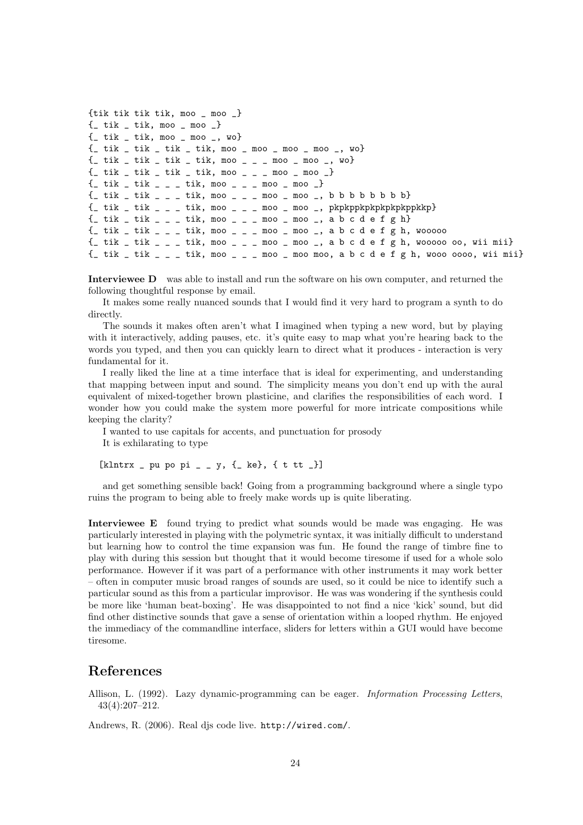```
{tik tik tik tik, moo _ moo _}
\{ tik  tik, moo  moo }
\{ tik  tik, moo  moo , wo}
\{- tik _ tik _ tik _ tik, moo _ moo _ moo _ moo _, wo}
\{- tik _ tik _ tik _ tik, moo _ _ _ moo _ moo _, wo}
\{- tik _ tik _ tik _ tik, moo _ _ _ moo _ moo _}
\{- tik _ tik _ _ _ tik, moo _ _ _ moo _ moo _}
{_ tik _ tik _ _ _ tik, moo _ _ _ moo _ moo _, b b b b b b b b}
\{- tik _ tik _ _ _ tik, moo _ _ _ moo _ moo _, pkpkppkpkpkpkpkppkkp}
{_ tik _ tik _ _ _ tik, moo _ _ _ moo _ moo _, a b c d e f g h}
\{\_ tik \_ tik \_ \_ \_ tik, moo \_ \_ \_ moo \_ moo \_, a b c d e f g h, wooooo
{_ tik _ tik _ _ _ tik, moo _ _ _ moo _ moo _, a b c d e f g h, wooooo oo, wii mii}
\{- tik \_ tik \_ \_ tik, moo \_ \_ \_ moo \_ moo moo, a b c d e f g h, wooo oooo, wii mii}
```
Interviewee D was able to install and run the software on his own computer, and returned the following thoughtful response by email.

It makes some really nuanced sounds that I would find it very hard to program a synth to do directly.

The sounds it makes often aren't what I imagined when typing a new word, but by playing with it interactively, adding pauses, etc. it's quite easy to map what you're hearing back to the words you typed, and then you can quickly learn to direct what it produces - interaction is very fundamental for it.

I really liked the line at a time interface that is ideal for experimenting, and understanding that mapping between input and sound. The simplicity means you don't end up with the aural equivalent of mixed-together brown plasticine, and clarifies the responsibilities of each word. I wonder how you could make the system more powerful for more intricate compositions while keeping the clarity?

I wanted to use capitals for accents, and punctuation for prosody It is exhilarating to type

 $[klntrx - pu po pi - y, (-ke), (t tt)]$ 

and get something sensible back! Going from a programming background where a single typo ruins the program to being able to freely make words up is quite liberating.

Interviewee E found trying to predict what sounds would be made was engaging. He was particularly interested in playing with the polymetric syntax, it was initially difficult to understand but learning how to control the time expansion was fun. He found the range of timbre fine to play with during this session but thought that it would become tiresome if used for a whole solo performance. However if it was part of a performance with other instruments it may work better – often in computer music broad ranges of sounds are used, so it could be nice to identify such a particular sound as this from a particular improvisor. He was was wondering if the synthesis could be more like 'human beat-boxing'. He was disappointed to not find a nice 'kick' sound, but did find other distinctive sounds that gave a sense of orientation within a looped rhythm. He enjoyed the immediacy of the commandline interface, sliders for letters within a GUI would have become tiresome.

# References

Allison, L. (1992). Lazy dynamic-programming can be eager. Information Processing Letters, 43(4):207–212.

Andrews, R. (2006). Real djs code live. http://wired.com/.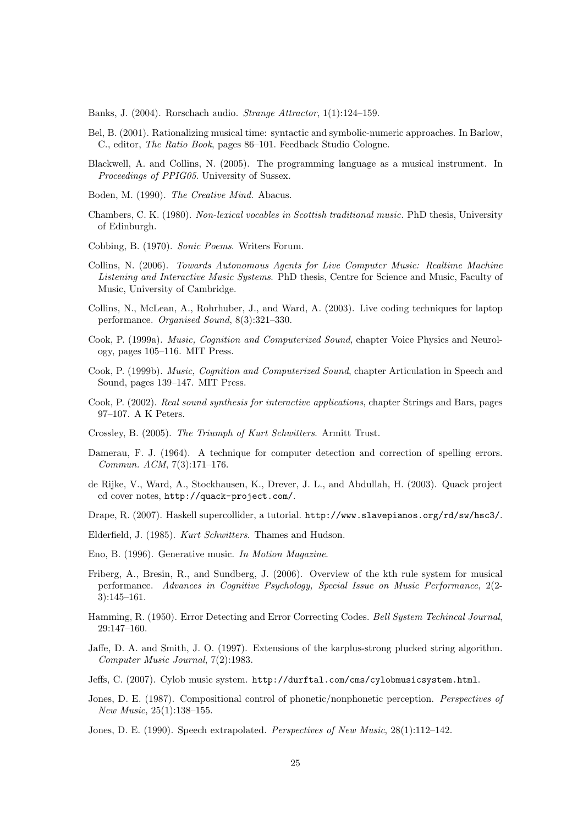Banks, J. (2004). Rorschach audio. Strange Attractor, 1(1):124–159.

- Bel, B. (2001). Rationalizing musical time: syntactic and symbolic-numeric approaches. In Barlow, C., editor, The Ratio Book, pages 86–101. Feedback Studio Cologne.
- Blackwell, A. and Collins, N. (2005). The programming language as a musical instrument. In Proceedings of PPIG05. University of Sussex.
- Boden, M. (1990). The Creative Mind. Abacus.
- Chambers, C. K. (1980). Non-lexical vocables in Scottish traditional music. PhD thesis, University of Edinburgh.
- Cobbing, B. (1970). Sonic Poems. Writers Forum.
- Collins, N. (2006). Towards Autonomous Agents for Live Computer Music: Realtime Machine Listening and Interactive Music Systems. PhD thesis, Centre for Science and Music, Faculty of Music, University of Cambridge.
- Collins, N., McLean, A., Rohrhuber, J., and Ward, A. (2003). Live coding techniques for laptop performance. Organised Sound, 8(3):321–330.
- Cook, P. (1999a). Music, Cognition and Computerized Sound, chapter Voice Physics and Neurology, pages 105–116. MIT Press.
- Cook, P. (1999b). *Music, Cognition and Computerized Sound*, chapter Articulation in Speech and Sound, pages 139–147. MIT Press.
- Cook, P. (2002). Real sound synthesis for interactive applications, chapter Strings and Bars, pages 97–107. A K Peters.
- Crossley, B. (2005). The Triumph of Kurt Schwitters. Armitt Trust.
- Damerau, F. J. (1964). A technique for computer detection and correction of spelling errors. Commun. ACM, 7(3):171–176.
- de Rijke, V., Ward, A., Stockhausen, K., Drever, J. L., and Abdullah, H. (2003). Quack project cd cover notes, http://quack-project.com/.
- Drape, R. (2007). Haskell supercollider, a tutorial. http://www.slavepianos.org/rd/sw/hsc3/.
- Elderfield, J. (1985). Kurt Schwitters. Thames and Hudson.
- Eno, B. (1996). Generative music. In Motion Magazine.
- Friberg, A., Bresin, R., and Sundberg, J. (2006). Overview of the kth rule system for musical performance. Advances in Cognitive Psychology, Special Issue on Music Performance, 2(2- 3):145–161.
- Hamming, R. (1950). Error Detecting and Error Correcting Codes. Bell System Techincal Journal, 29:147–160.
- Jaffe, D. A. and Smith, J. O. (1997). Extensions of the karplus-strong plucked string algorithm. Computer Music Journal, 7(2):1983.
- Jeffs, C. (2007). Cylob music system. http://durftal.com/cms/cylobmusicsystem.html.
- Jones, D. E. (1987). Compositional control of phonetic/nonphonetic perception. Perspectives of New Music, 25(1):138–155.
- Jones, D. E. (1990). Speech extrapolated. Perspectives of New Music, 28(1):112–142.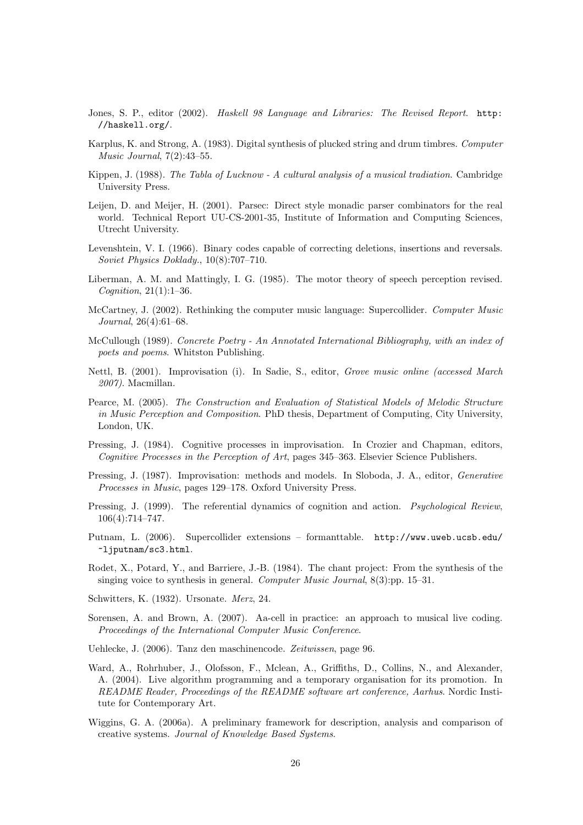- Jones, S. P., editor (2002). Haskell 98 Language and Libraries: The Revised Report. http: //haskell.org/.
- Karplus, K. and Strong, A. (1983). Digital synthesis of plucked string and drum timbres. Computer Music Journal, 7(2):43–55.
- Kippen, J. (1988). The Tabla of Lucknow A cultural analysis of a musical tradiation. Cambridge University Press.
- Leijen, D. and Meijer, H. (2001). Parsec: Direct style monadic parser combinators for the real world. Technical Report UU-CS-2001-35, Institute of Information and Computing Sciences, Utrecht University.
- Levenshtein, V. I. (1966). Binary codes capable of correcting deletions, insertions and reversals. Soviet Physics Doklady., 10(8):707–710.
- Liberman, A. M. and Mattingly, I. G. (1985). The motor theory of speech perception revised. *Cognition*,  $21(1):1-36$ .
- McCartney, J. (2002). Rethinking the computer music language: Supercollider. Computer Music Journal, 26(4):61–68.
- McCullough (1989). Concrete Poetry An Annotated International Bibliography, with an index of poets and poems. Whitston Publishing.
- Nettl, B. (2001). Improvisation (i). In Sadie, S., editor, Grove music online (accessed March 2007). Macmillan.
- Pearce, M. (2005). The Construction and Evaluation of Statistical Models of Melodic Structure in Music Perception and Composition. PhD thesis, Department of Computing, City University, London, UK.
- Pressing, J. (1984). Cognitive processes in improvisation. In Crozier and Chapman, editors, Cognitive Processes in the Perception of Art, pages 345–363. Elsevier Science Publishers.
- Pressing, J. (1987). Improvisation: methods and models. In Sloboda, J. A., editor, Generative Processes in Music, pages 129–178. Oxford University Press.
- Pressing, J. (1999). The referential dynamics of cognition and action. *Psychological Review*, 106(4):714–747.
- Putnam, L. (2006). Supercollider extensions formanttable. http://www.uweb.ucsb.edu/ ~ljputnam/sc3.html.
- Rodet, X., Potard, Y., and Barriere, J.-B. (1984). The chant project: From the synthesis of the singing voice to synthesis in general. Computer Music Journal, 8(3):pp. 15–31.

Schwitters, K. (1932). Ursonate. Merz, 24.

- Sorensen, A. and Brown, A. (2007). Aa-cell in practice: an approach to musical live coding. Proceedings of the International Computer Music Conference.
- Uehlecke, J. (2006). Tanz den maschinencode. Zeitwissen, page 96.
- Ward, A., Rohrhuber, J., Olofsson, F., Mclean, A., Griffiths, D., Collins, N., and Alexander, A. (2004). Live algorithm programming and a temporary organisation for its promotion. In README Reader, Proceedings of the README software art conference, Aarhus. Nordic Institute for Contemporary Art.
- Wiggins, G. A. (2006a). A preliminary framework for description, analysis and comparison of creative systems. Journal of Knowledge Based Systems.